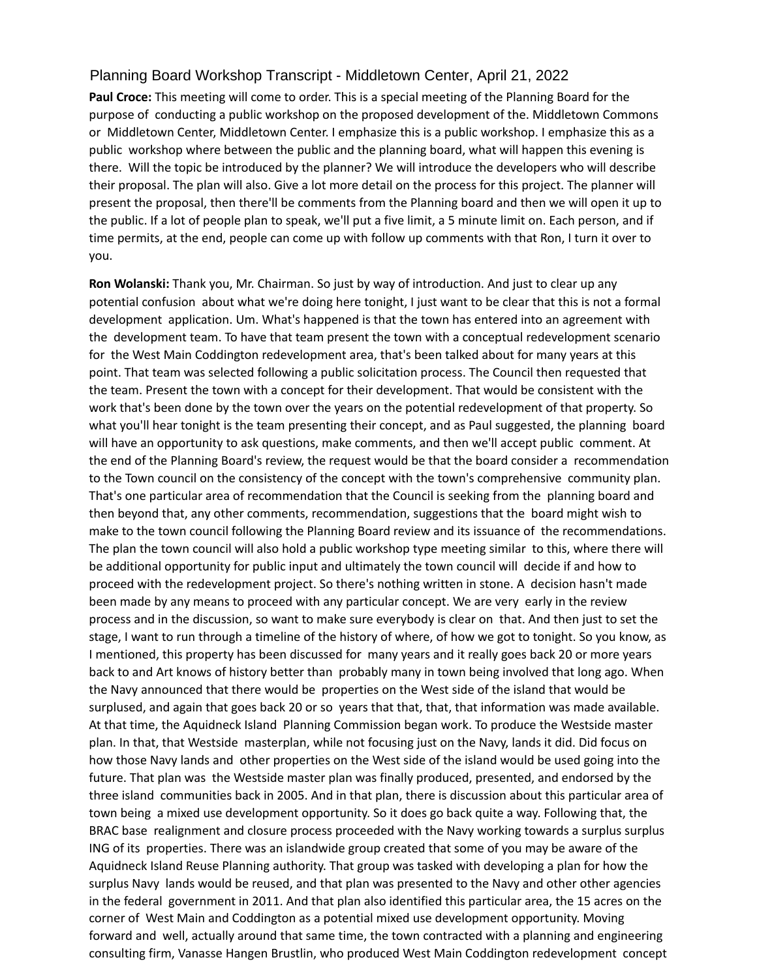# Planning Board Workshop Transcript - Middletown Center, April 21, 2022

**Paul Croce:** This meeting will come to order. This is a special meeting of the Planning Board for the purpose of conducting a public workshop on the proposed development of the. Middletown Commons or Middletown Center, Middletown Center. I emphasize this is a public workshop. I emphasize this as a public workshop where between the public and the planning board, what will happen this evening is there. Will the topic be introduced by the planner? We will introduce the developers who will describe their proposal. The plan will also. Give a lot more detail on the process for this project. The planner will present the proposal, then there'll be comments from the Planning board and then we will open it up to the public. If a lot of people plan to speak, we'll put a five limit, a 5 minute limit on. Each person, and if time permits, at the end, people can come up with follow up comments with that Ron, I turn it over to you.

**Ron Wolanski:** Thank you, Mr. Chairman. So just by way of introduction. And just to clear up any potential confusion about what we're doing here tonight, I just want to be clear that this is not a formal development application. Um. What's happened is that the town has entered into an agreement with the development team. To have that team present the town with a conceptual redevelopment scenario for the West Main Coddington redevelopment area, that's been talked about for many years at this point. That team was selected following a public solicitation process. The Council then requested that the team. Present the town with a concept for their development. That would be consistent with the work that's been done by the town over the years on the potential redevelopment of that property. So what you'll hear tonight is the team presenting their concept, and as Paul suggested, the planning board will have an opportunity to ask questions, make comments, and then we'll accept public comment. At the end of the Planning Board's review, the request would be that the board consider a recommendation to the Town council on the consistency of the concept with the town's comprehensive community plan. That's one particular area of recommendation that the Council is seeking from the planning board and then beyond that, any other comments, recommendation, suggestions that the board might wish to make to the town council following the Planning Board review and its issuance of the recommendations. The plan the town council will also hold a public workshop type meeting similar to this, where there will be additional opportunity for public input and ultimately the town council will decide if and how to proceed with the redevelopment project. So there's nothing written in stone. A decision hasn't made been made by any means to proceed with any particular concept. We are very early in the review process and in the discussion, so want to make sure everybody is clear on that. And then just to set the stage, I want to run through a timeline of the history of where, of how we got to tonight. So you know, as I mentioned, this property has been discussed for many years and it really goes back 20 or more years back to and Art knows of history better than probably many in town being involved that long ago. When the Navy announced that there would be properties on the West side of the island that would be surplused, and again that goes back 20 or so years that that, that, that information was made available. At that time, the Aquidneck Island Planning Commission began work. To produce the Westside master plan. In that, that Westside masterplan, while not focusing just on the Navy, lands it did. Did focus on how those Navy lands and other properties on the West side of the island would be used going into the future. That plan was the Westside master plan was finally produced, presented, and endorsed by the three island communities back in 2005. And in that plan, there is discussion about this particular area of town being a mixed use development opportunity. So it does go back quite a way. Following that, the BRAC base realignment and closure process proceeded with the Navy working towards a surplus surplus ING of its properties. There was an islandwide group created that some of you may be aware of the Aquidneck Island Reuse Planning authority. That group was tasked with developing a plan for how the surplus Navy lands would be reused, and that plan was presented to the Navy and other other agencies in the federal government in 2011. And that plan also identified this particular area, the 15 acres on the corner of West Main and Coddington as a potential mixed use development opportunity. Moving forward and well, actually around that same time, the town contracted with a planning and engineering consulting firm, Vanasse Hangen Brustlin, who produced West Main Coddington redevelopment concept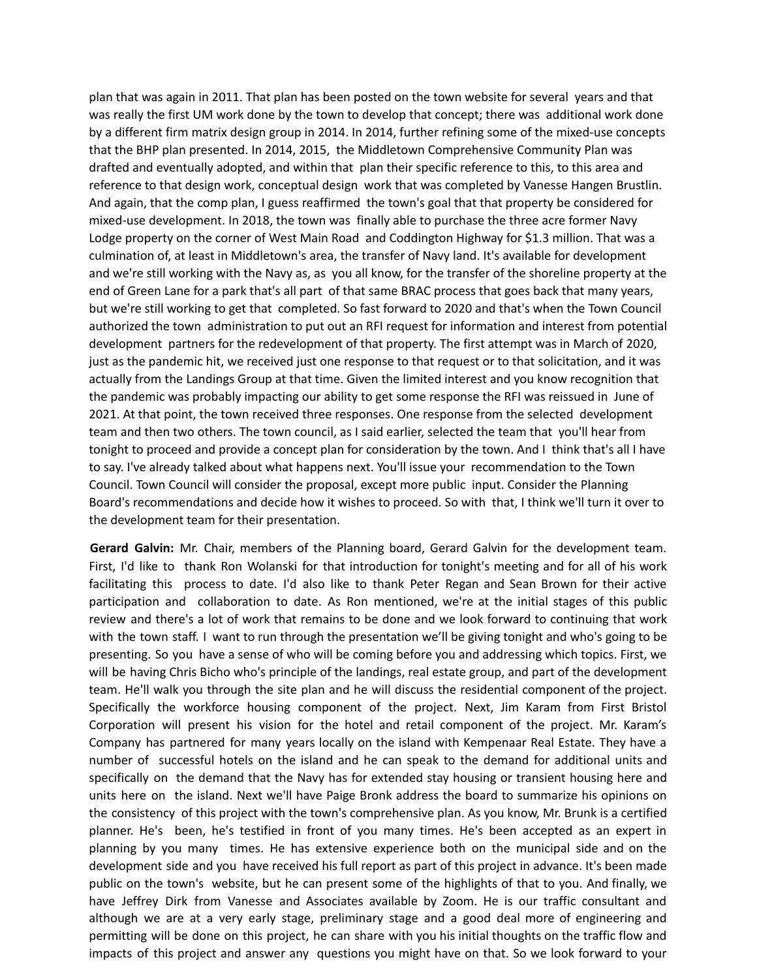plan that was again in 2011. That plan has been posted on the town website for several years and that was really the first UM work done by the town to develop that concept; there was additional work done by a different firm matrix design group in 2014. In 2014, further refining some of the mixed-use concepts that the BHP plan presented. In 2014, 2015, the Middletown Comprehensive Community Plan was drafted and eventually adopted, and within that plan their specific reference to this, to this area and reference to that design work, conceptual design work that was completed by Vanesse Hangen Brustlin. And again, that the comp plan, I guess reaffirmed the town's goal that that property be considered for mixed-use development. In 2018, the town was finally able to purchase the three acre former Navy Lodge property on the corner of West Main Road and Coddington Highway for \$1.3 million. That was a culmination of, at least in Middletown's area, the transfer of Navy land. It's available for development and we're still working with the Navy as, as you all know, for the transfer of the shoreline property at the end of Green Lane for a park that's all part of that same BRAC process that goes back that many years, but we're still working to get that completed. So fast forward to 2020 and that's when the Town Council authorized the town administration to put out an RFI request for information and interest from potential development partners for the redevelopment of that property. The first attempt was in March of 2020, just as the pandemic hit, we received just one response to that request or to that solicitation, and it was actually from the Landings Group at that time. Given the limited interest and you know recognition that the pandemic was probably impacting our ability to get some response the RFI was reissued in June of 2021. At that point, the town received three responses. One response from the selected development team and then two others. The town council, as I said earlier, selected the team that you'll hear from tonight to proceed and provide a concept plan for consideration by the town. And I think that's all I have to say. I've already talked about what happens next. You'll issue your recommendation to the Town Council. Town Council will consider the proposal, except more public input. Consider the Planning Board's recommendations and decide how it wishes to proceed. So with that, I think we'll turn it over to the development team for their presentation.

**Gerard Galvin:** Mr. Chair, members of the Planning board, Gerard Galvin for the development team. First, I'd like to thank Ron Wolanski for that introduction for tonight's meeting and for all of his work facilitating this process to date. I'd also like to thank Peter Regan and Sean Brown for their active participation and collaboration to date. As Ron mentioned, we're at the initial stages of this public review and there's a lot of work that remains to be done and we look forward to continuing that work with the town staff. I want to run through the presentation we'll be giving tonight and who's going to be presenting. So you have a sense of who will be coming before you and addressing which topics. First, we will be having Chris Bicho who's principle of the landings, real estate group, and part of the development team. He'll walk you through the site plan and he will discuss the residential component of the project. Specifically the workforce housing component of the project. Next, Jim Karam from First Bristol Corporation will present his vision for the hotel and retail component of the project. Mr. Karam's Company has partnered for many years locally on the island with Kempenaar Real Estate. They have a number of successful hotels on the island and he can speak to the demand for additional units and specifically on the demand that the Navy has for extended stay housing or transient housing here and units here on the island. Next we'll have Paige Bronk address the board to summarize his opinions on the consistency of this project with the town's comprehensive plan. As you know, Mr. Brunk is a certified planner. He's been, he's testified in front of you many times. He's been accepted as an expert in planning by you many times. He has extensive experience both on the municipal side and on the development side and you have received his full report as part of this project in advance. It's been made public on the town's website, but he can present some of the highlights of that to you. And finally, we have Jeffrey Dirk from Vanesse and Associates available by Zoom. He is our traffic consultant and although we are at a very early stage, preliminary stage and a good deal more of engineering and permitting will be done on this project, he can share with you his initial thoughts on the traffic flow and impacts of this project and answer any questions you might have on that. So we look forward to your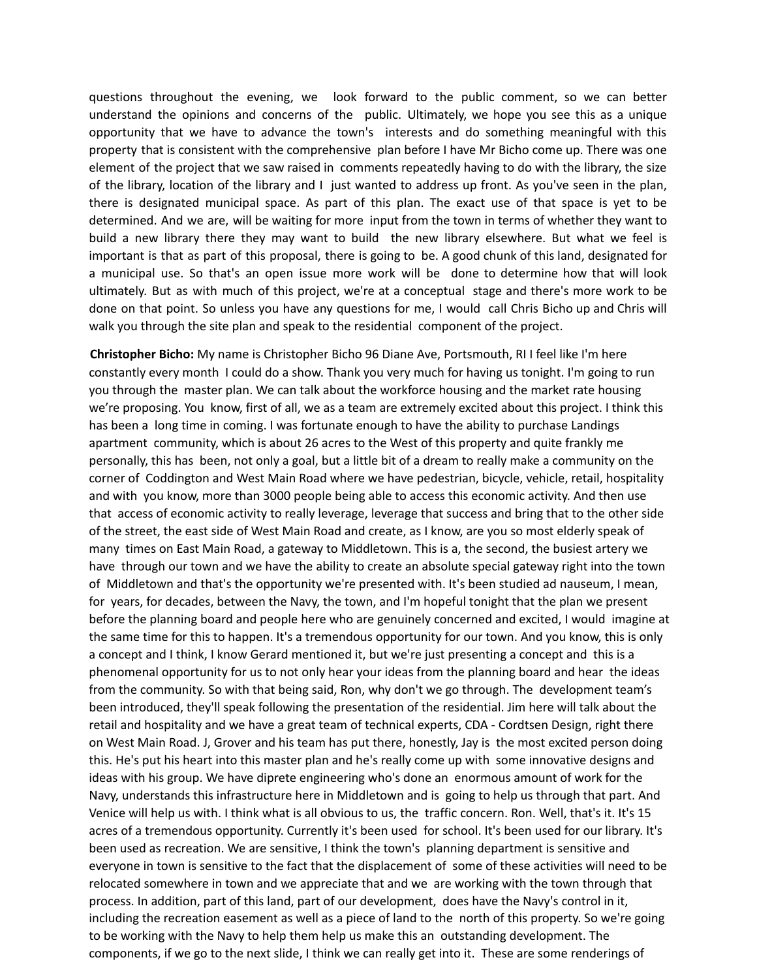questions throughout the evening, we look forward to the public comment, so we can better understand the opinions and concerns of the public. Ultimately, we hope you see this as a unique opportunity that we have to advance the town's interests and do something meaningful with this property that is consistent with the comprehensive plan before I have Mr Bicho come up. There was one element of the project that we saw raised in comments repeatedly having to do with the library, the size of the library, location of the library and I just wanted to address up front. As you've seen in the plan, there is designated municipal space. As part of this plan. The exact use of that space is yet to be determined. And we are, will be waiting for more input from the town in terms of whether they want to build a new library there they may want to build the new library elsewhere. But what we feel is important is that as part of this proposal, there is going to be. A good chunk of this land, designated for a municipal use. So that's an open issue more work will be done to determine how that will look ultimately. But as with much of this project, we're at a conceptual stage and there's more work to be done on that point. So unless you have any questions for me, I would call Chris Bicho up and Chris will walk you through the site plan and speak to the residential component of the project.

**Christopher Bicho:** My name is Christopher Bicho 96 Diane Ave, Portsmouth, RI I feel like I'm here constantly every month I could do a show. Thank you very much for having us tonight. I'm going to run you through the master plan. We can talk about the workforce housing and the market rate housing we're proposing. You know, first of all, we as a team are extremely excited about this project. I think this has been a long time in coming. I was fortunate enough to have the ability to purchase Landings apartment community, which is about 26 acres to the West of this property and quite frankly me personally, this has been, not only a goal, but a little bit of a dream to really make a community on the corner of Coddington and West Main Road where we have pedestrian, bicycle, vehicle, retail, hospitality and with you know, more than 3000 people being able to access this economic activity. And then use that access of economic activity to really leverage, leverage that success and bring that to the other side of the street, the east side of West Main Road and create, as I know, are you so most elderly speak of many times on East Main Road, a gateway to Middletown. This is a, the second, the busiest artery we have through our town and we have the ability to create an absolute special gateway right into the town of Middletown and that's the opportunity we're presented with. It's been studied ad nauseum, I mean, for years, for decades, between the Navy, the town, and I'm hopeful tonight that the plan we present before the planning board and people here who are genuinely concerned and excited, I would imagine at the same time for this to happen. It's a tremendous opportunity for our town. And you know, this is only a concept and I think, I know Gerard mentioned it, but we're just presenting a concept and this is a phenomenal opportunity for us to not only hear your ideas from the planning board and hear the ideas from the community. So with that being said, Ron, why don't we go through. The development team's been introduced, they'll speak following the presentation of the residential. Jim here will talk about the retail and hospitality and we have a great team of technical experts, CDA - Cordtsen Design, right there on West Main Road. J, Grover and his team has put there, honestly, Jay is the most excited person doing this. He's put his heart into this master plan and he's really come up with some innovative designs and ideas with his group. We have diprete engineering who's done an enormous amount of work for the Navy, understands this infrastructure here in Middletown and is going to help us through that part. And Venice will help us with. I think what is all obvious to us, the traffic concern. Ron. Well, that's it. It's 15 acres of a tremendous opportunity. Currently it's been used for school. It's been used for our library. It's been used as recreation. We are sensitive, I think the town's planning department is sensitive and everyone in town is sensitive to the fact that the displacement of some of these activities will need to be relocated somewhere in town and we appreciate that and we are working with the town through that process. In addition, part of this land, part of our development, does have the Navy's control in it, including the recreation easement as well as a piece of land to the north of this property. So we're going to be working with the Navy to help them help us make this an outstanding development. The components, if we go to the next slide, I think we can really get into it. These are some renderings of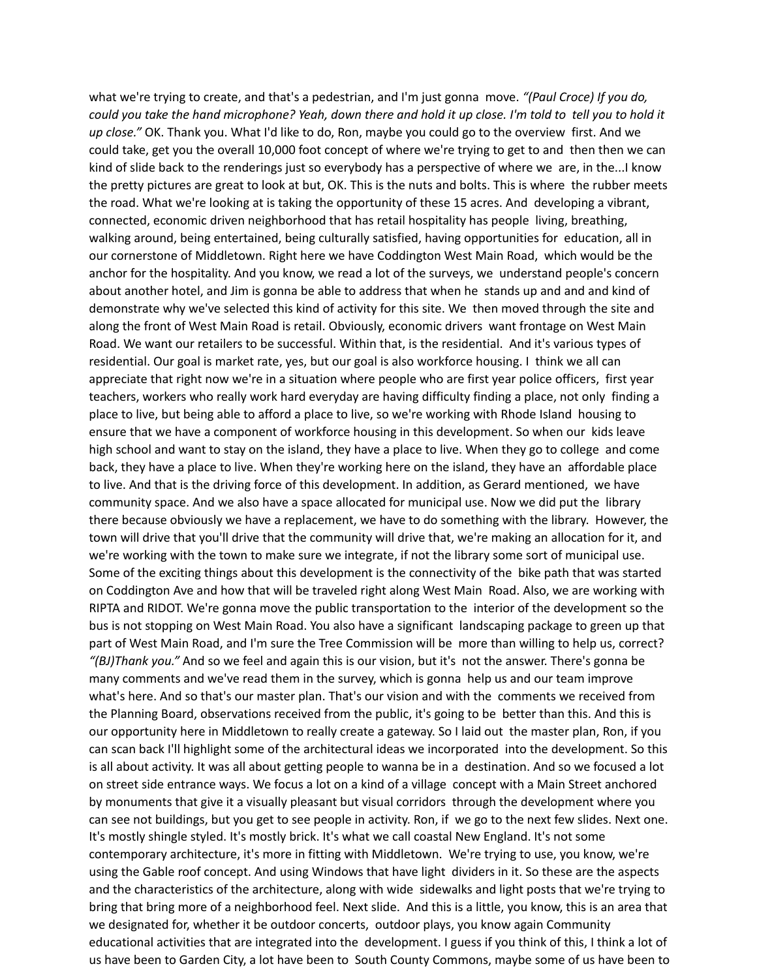what we're trying to create, and that's a pedestrian, and I'm just gonna move. *"(Paul Croce) If you do,* could you take the hand microphone? Yeah, down there and hold it up close. I'm told to tell you to hold it *up close."* OK. Thank you. What I'd like to do, Ron, maybe you could go to the overview first. And we could take, get you the overall 10,000 foot concept of where we're trying to get to and then then we can kind of slide back to the renderings just so everybody has a perspective of where we are, in the...I know the pretty pictures are great to look at but, OK. This is the nuts and bolts. This is where the rubber meets the road. What we're looking at is taking the opportunity of these 15 acres. And developing a vibrant, connected, economic driven neighborhood that has retail hospitality has people living, breathing, walking around, being entertained, being culturally satisfied, having opportunities for education, all in our cornerstone of Middletown. Right here we have Coddington West Main Road, which would be the anchor for the hospitality. And you know, we read a lot of the surveys, we understand people's concern about another hotel, and Jim is gonna be able to address that when he stands up and and and kind of demonstrate why we've selected this kind of activity for this site. We then moved through the site and along the front of West Main Road is retail. Obviously, economic drivers want frontage on West Main Road. We want our retailers to be successful. Within that, is the residential. And it's various types of residential. Our goal is market rate, yes, but our goal is also workforce housing. I think we all can appreciate that right now we're in a situation where people who are first year police officers, first year teachers, workers who really work hard everyday are having difficulty finding a place, not only finding a place to live, but being able to afford a place to live, so we're working with Rhode Island housing to ensure that we have a component of workforce housing in this development. So when our kids leave high school and want to stay on the island, they have a place to live. When they go to college and come back, they have a place to live. When they're working here on the island, they have an affordable place to live. And that is the driving force of this development. In addition, as Gerard mentioned, we have community space. And we also have a space allocated for municipal use. Now we did put the library there because obviously we have a replacement, we have to do something with the library. However, the town will drive that you'll drive that the community will drive that, we're making an allocation for it, and we're working with the town to make sure we integrate, if not the library some sort of municipal use. Some of the exciting things about this development is the connectivity of the bike path that was started on Coddington Ave and how that will be traveled right along West Main Road. Also, we are working with RIPTA and RIDOT. We're gonna move the public transportation to the interior of the development so the bus is not stopping on West Main Road. You also have a significant landscaping package to green up that part of West Main Road, and I'm sure the Tree Commission will be more than willing to help us, correct? *"(BJ)Thank you."* And so we feel and again this is our vision, but it's not the answer. There's gonna be many comments and we've read them in the survey, which is gonna help us and our team improve what's here. And so that's our master plan. That's our vision and with the comments we received from the Planning Board, observations received from the public, it's going to be better than this. And this is our opportunity here in Middletown to really create a gateway. So I laid out the master plan, Ron, if you can scan back I'll highlight some of the architectural ideas we incorporated into the development. So this is all about activity. It was all about getting people to wanna be in a destination. And so we focused a lot on street side entrance ways. We focus a lot on a kind of a village concept with a Main Street anchored by monuments that give it a visually pleasant but visual corridors through the development where you can see not buildings, but you get to see people in activity. Ron, if we go to the next few slides. Next one. It's mostly shingle styled. It's mostly brick. It's what we call coastal New England. It's not some contemporary architecture, it's more in fitting with Middletown. We're trying to use, you know, we're using the Gable roof concept. And using Windows that have light dividers in it. So these are the aspects and the characteristics of the architecture, along with wide sidewalks and light posts that we're trying to bring that bring more of a neighborhood feel. Next slide. And this is a little, you know, this is an area that we designated for, whether it be outdoor concerts, outdoor plays, you know again Community educational activities that are integrated into the development. I guess if you think of this, I think a lot of us have been to Garden City, a lot have been to South County Commons, maybe some of us have been to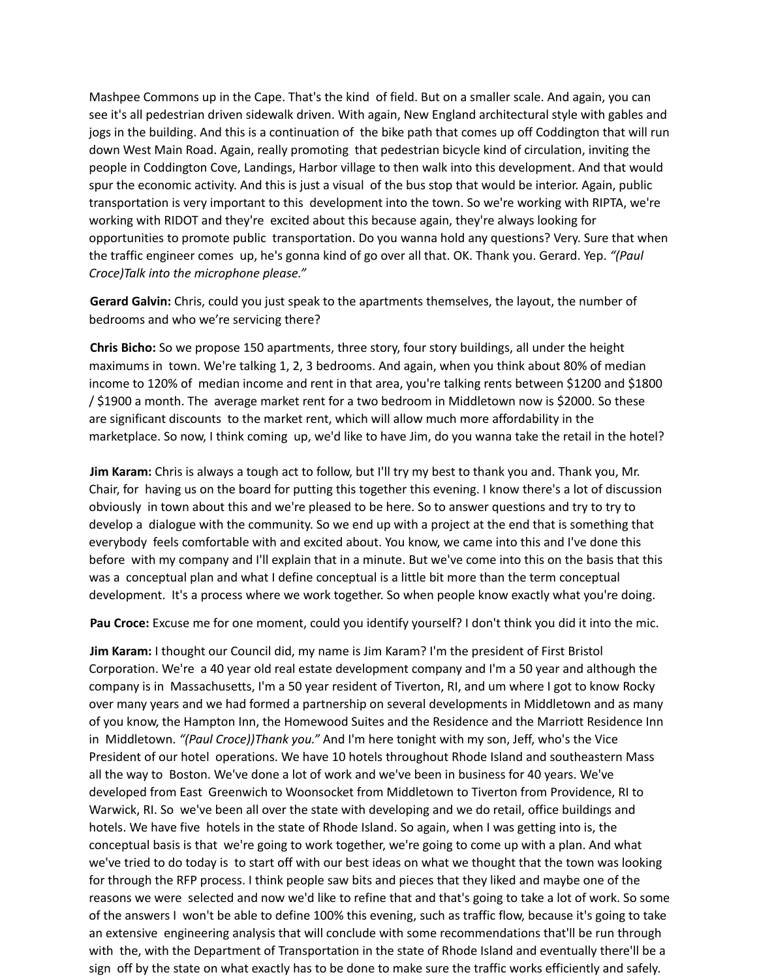Mashpee Commons up in the Cape. That's the kind of field. But on a smaller scale. And again, you can see it's all pedestrian driven sidewalk driven. With again, New England architectural style with gables and jogs in the building. And this is a continuation of the bike path that comes up off Coddington that will run down West Main Road. Again, really promoting that pedestrian bicycle kind of circulation, inviting the people in Coddington Cove, Landings, Harbor village to then walk into this development. And that would spur the economic activity. And this is just a visual of the bus stop that would be interior. Again, public transportation is very important to this development into the town. So we're working with RIPTA, we're working with RIDOT and they're excited about this because again, they're always looking for opportunities to promote public transportation. Do you wanna hold any questions? Very. Sure that when the traffic engineer comes up, he's gonna kind of go over all that. OK. Thank you. Gerard. Yep. *"(Paul Croce)Talk into the microphone please."*

**Gerard Galvin:** Chris, could you just speak to the apartments themselves, the layout, the number of bedrooms and who we're servicing there?

**Chris Bicho:** So we propose 150 apartments, three story, four story buildings, all under the height maximums in town. We're talking 1, 2, 3 bedrooms. And again, when you think about 80% of median income to 120% of median income and rent in that area, you're talking rents between \$1200 and \$1800 / \$1900 a month. The average market rent for a two bedroom in Middletown now is \$2000. So these are significant discounts to the market rent, which will allow much more affordability in the marketplace. So now, I think coming up, we'd like to have Jim, do you wanna take the retail in the hotel?

**Jim Karam:** Chris is always a tough act to follow, but I'll try my best to thank you and. Thank you, Mr. Chair, for having us on the board for putting this together this evening. I know there's a lot of discussion obviously in town about this and we're pleased to be here. So to answer questions and try to try to develop a dialogue with the community. So we end up with a project at the end that is something that everybody feels comfortable with and excited about. You know, we came into this and I've done this before with my company and I'll explain that in a minute. But we've come into this on the basis that this was a conceptual plan and what I define conceptual is a little bit more than the term conceptual development. It's a process where we work together. So when people know exactly what you're doing.

**Pau Croce:** Excuse me for one moment, could you identify yourself? I don't think you did it into the mic.

**Jim Karam:** I thought our Council did, my name is Jim Karam? I'm the president of First Bristol Corporation. We're a 40 year old real estate development company and I'm a 50 year and although the company is in Massachusetts, I'm a 50 year resident of Tiverton, RI, and um where I got to know Rocky over many years and we had formed a partnership on several developments in Middletown and as many of you know, the Hampton Inn, the Homewood Suites and the Residence and the Marriott Residence Inn in Middletown. *"(Paul Croce))Thank you."* And I'm here tonight with my son, Jeff, who's the Vice President of our hotel operations. We have 10 hotels throughout Rhode Island and southeastern Mass all the way to Boston. We've done a lot of work and we've been in business for 40 years. We've developed from East Greenwich to Woonsocket from Middletown to Tiverton from Providence, RI to Warwick, RI. So we've been all over the state with developing and we do retail, office buildings and hotels. We have five hotels in the state of Rhode Island. So again, when I was getting into is, the conceptual basis is that we're going to work together, we're going to come up with a plan. And what we've tried to do today is to start off with our best ideas on what we thought that the town was looking for through the RFP process. I think people saw bits and pieces that they liked and maybe one of the reasons we were selected and now we'd like to refine that and that's going to take a lot of work. So some of the answers I won't be able to define 100% this evening, such as traffic flow, because it's going to take an extensive engineering analysis that will conclude with some recommendations that'll be run through with the, with the Department of Transportation in the state of Rhode Island and eventually there'll be a sign off by the state on what exactly has to be done to make sure the traffic works efficiently and safely.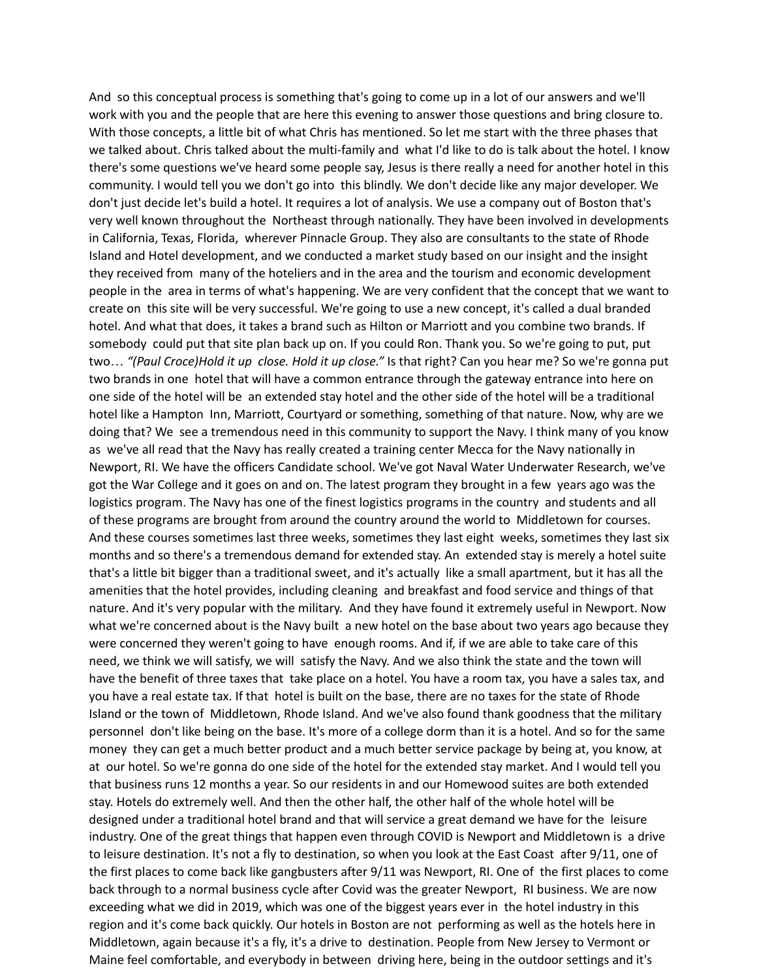And so this conceptual process is something that's going to come up in a lot of our answers and we'll work with you and the people that are here this evening to answer those questions and bring closure to. With those concepts, a little bit of what Chris has mentioned. So let me start with the three phases that we talked about. Chris talked about the multi-family and what I'd like to do is talk about the hotel. I know there's some questions we've heard some people say, Jesus is there really a need for another hotel in this community. I would tell you we don't go into this blindly. We don't decide like any major developer. We don't just decide let's build a hotel. It requires a lot of analysis. We use a company out of Boston that's very well known throughout the Northeast through nationally. They have been involved in developments in California, Texas, Florida, wherever Pinnacle Group. They also are consultants to the state of Rhode Island and Hotel development, and we conducted a market study based on our insight and the insight they received from many of the hoteliers and in the area and the tourism and economic development people in the area in terms of what's happening. We are very confident that the concept that we want to create on this site will be very successful. We're going to use a new concept, it's called a dual branded hotel. And what that does, it takes a brand such as Hilton or Marriott and you combine two brands. If somebody could put that site plan back up on. If you could Ron. Thank you. So we're going to put, put two… *"(Paul Croce)Hold it up close. Hold it up close."* Is that right? Can you hear me? So we're gonna put two brands in one hotel that will have a common entrance through the gateway entrance into here on one side of the hotel will be an extended stay hotel and the other side of the hotel will be a traditional hotel like a Hampton Inn, Marriott, Courtyard or something, something of that nature. Now, why are we doing that? We see a tremendous need in this community to support the Navy. I think many of you know as we've all read that the Navy has really created a training center Mecca for the Navy nationally in Newport, RI. We have the officers Candidate school. We've got Naval Water Underwater Research, we've got the War College and it goes on and on. The latest program they brought in a few years ago was the logistics program. The Navy has one of the finest logistics programs in the country and students and all of these programs are brought from around the country around the world to Middletown for courses. And these courses sometimes last three weeks, sometimes they last eight weeks, sometimes they last six months and so there's a tremendous demand for extended stay. An extended stay is merely a hotel suite that's a little bit bigger than a traditional sweet, and it's actually like a small apartment, but it has all the amenities that the hotel provides, including cleaning and breakfast and food service and things of that nature. And it's very popular with the military. And they have found it extremely useful in Newport. Now what we're concerned about is the Navy built a new hotel on the base about two years ago because they were concerned they weren't going to have enough rooms. And if, if we are able to take care of this need, we think we will satisfy, we will satisfy the Navy. And we also think the state and the town will have the benefit of three taxes that take place on a hotel. You have a room tax, you have a sales tax, and you have a real estate tax. If that hotel is built on the base, there are no taxes for the state of Rhode Island or the town of Middletown, Rhode Island. And we've also found thank goodness that the military personnel don't like being on the base. It's more of a college dorm than it is a hotel. And so for the same money they can get a much better product and a much better service package by being at, you know, at at our hotel. So we're gonna do one side of the hotel for the extended stay market. And I would tell you that business runs 12 months a year. So our residents in and our Homewood suites are both extended stay. Hotels do extremely well. And then the other half, the other half of the whole hotel will be designed under a traditional hotel brand and that will service a great demand we have for the leisure industry. One of the great things that happen even through COVID is Newport and Middletown is a drive to leisure destination. It's not a fly to destination, so when you look at the East Coast after 9/11, one of the first places to come back like gangbusters after 9/11 was Newport, RI. One of the first places to come back through to a normal business cycle after Covid was the greater Newport, RI business. We are now exceeding what we did in 2019, which was one of the biggest years ever in the hotel industry in this region and it's come back quickly. Our hotels in Boston are not performing as well as the hotels here in Middletown, again because it's a fly, it's a drive to destination. People from New Jersey to Vermont or Maine feel comfortable, and everybody in between driving here, being in the outdoor settings and it's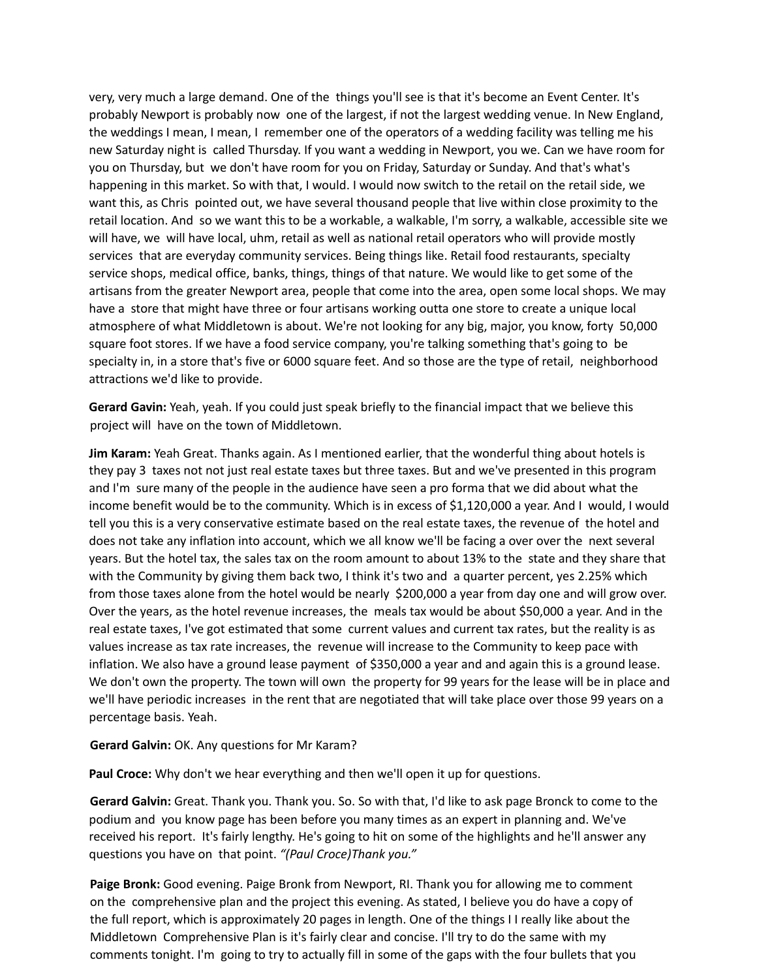very, very much a large demand. One of the things you'll see is that it's become an Event Center. It's probably Newport is probably now one of the largest, if not the largest wedding venue. In New England, the weddings I mean, I mean, I remember one of the operators of a wedding facility was telling me his new Saturday night is called Thursday. If you want a wedding in Newport, you we. Can we have room for you on Thursday, but we don't have room for you on Friday, Saturday or Sunday. And that's what's happening in this market. So with that, I would. I would now switch to the retail on the retail side, we want this, as Chris pointed out, we have several thousand people that live within close proximity to the retail location. And so we want this to be a workable, a walkable, I'm sorry, a walkable, accessible site we will have, we will have local, uhm, retail as well as national retail operators who will provide mostly services that are everyday community services. Being things like. Retail food restaurants, specialty service shops, medical office, banks, things, things of that nature. We would like to get some of the artisans from the greater Newport area, people that come into the area, open some local shops. We may have a store that might have three or four artisans working outta one store to create a unique local atmosphere of what Middletown is about. We're not looking for any big, major, you know, forty 50,000 square foot stores. If we have a food service company, you're talking something that's going to be specialty in, in a store that's five or 6000 square feet. And so those are the type of retail, neighborhood attractions we'd like to provide.

**Gerard Gavin:** Yeah, yeah. If you could just speak briefly to the financial impact that we believe this project will have on the town of Middletown.

**Jim Karam:** Yeah Great. Thanks again. As I mentioned earlier, that the wonderful thing about hotels is they pay 3 taxes not not just real estate taxes but three taxes. But and we've presented in this program and I'm sure many of the people in the audience have seen a pro forma that we did about what the income benefit would be to the community. Which is in excess of \$1,120,000 a year. And I would, I would tell you this is a very conservative estimate based on the real estate taxes, the revenue of the hotel and does not take any inflation into account, which we all know we'll be facing a over over the next several years. But the hotel tax, the sales tax on the room amount to about 13% to the state and they share that with the Community by giving them back two, I think it's two and a quarter percent, yes 2.25% which from those taxes alone from the hotel would be nearly \$200,000 a year from day one and will grow over. Over the years, as the hotel revenue increases, the meals tax would be about \$50,000 a year. And in the real estate taxes, I've got estimated that some current values and current tax rates, but the reality is as values increase as tax rate increases, the revenue will increase to the Community to keep pace with inflation. We also have a ground lease payment of \$350,000 a year and and again this is a ground lease. We don't own the property. The town will own the property for 99 years for the lease will be in place and we'll have periodic increases in the rent that are negotiated that will take place over those 99 years on a percentage basis. Yeah.

### **Gerard Galvin:** OK. Any questions for Mr Karam?

**Paul Croce:** Why don't we hear everything and then we'll open it up for questions.

**Gerard Galvin:** Great. Thank you. Thank you. So. So with that, I'd like to ask page Bronck to come to the podium and you know page has been before you many times as an expert in planning and. We've received his report. It's fairly lengthy. He's going to hit on some of the highlights and he'll answer any questions you have on that point. *"(Paul Croce)Thank you."*

**Paige Bronk:** Good evening. Paige Bronk from Newport, RI. Thank you for allowing me to comment on the comprehensive plan and the project this evening. As stated, I believe you do have a copy of the full report, which is approximately 20 pages in length. One of the things I I really like about the Middletown Comprehensive Plan is it's fairly clear and concise. I'll try to do the same with my comments tonight. I'm going to try to actually fill in some of the gaps with the four bullets that you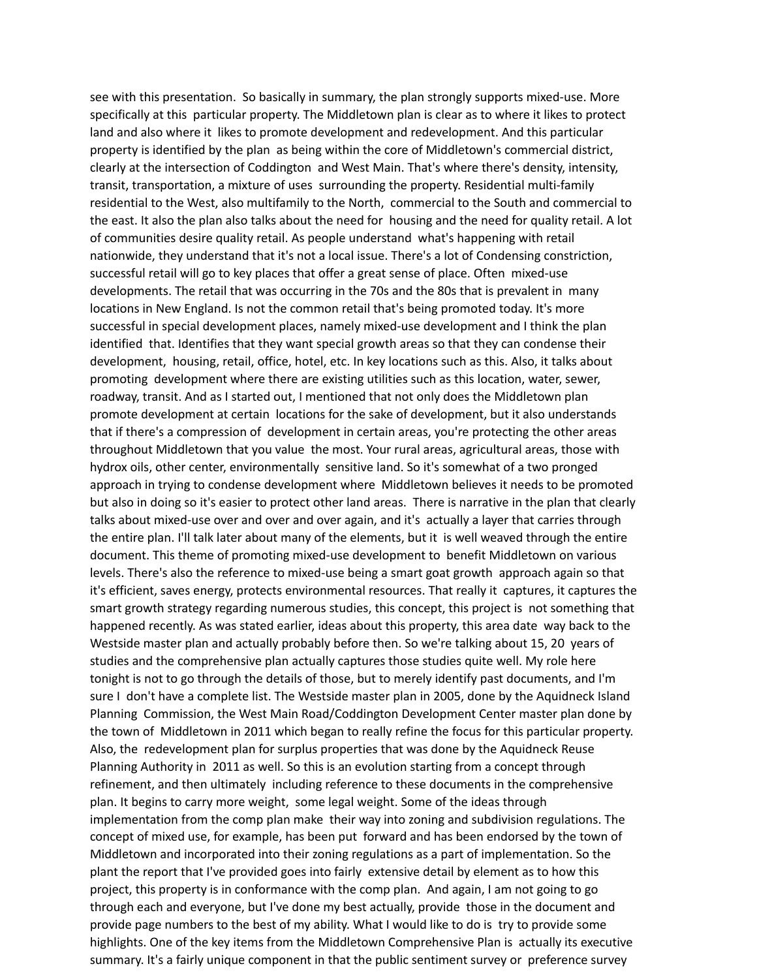see with this presentation. So basically in summary, the plan strongly supports mixed-use. More specifically at this particular property. The Middletown plan is clear as to where it likes to protect land and also where it likes to promote development and redevelopment. And this particular property is identified by the plan as being within the core of Middletown's commercial district, clearly at the intersection of Coddington and West Main. That's where there's density, intensity, transit, transportation, a mixture of uses surrounding the property. Residential multi-family residential to the West, also multifamily to the North, commercial to the South and commercial to the east. It also the plan also talks about the need for housing and the need for quality retail. A lot of communities desire quality retail. As people understand what's happening with retail nationwide, they understand that it's not a local issue. There's a lot of Condensing constriction, successful retail will go to key places that offer a great sense of place. Often mixed-use developments. The retail that was occurring in the 70s and the 80s that is prevalent in many locations in New England. Is not the common retail that's being promoted today. It's more successful in special development places, namely mixed-use development and I think the plan identified that. Identifies that they want special growth areas so that they can condense their development, housing, retail, office, hotel, etc. In key locations such as this. Also, it talks about promoting development where there are existing utilities such as this location, water, sewer, roadway, transit. And as I started out, I mentioned that not only does the Middletown plan promote development at certain locations for the sake of development, but it also understands that if there's a compression of development in certain areas, you're protecting the other areas throughout Middletown that you value the most. Your rural areas, agricultural areas, those with hydrox oils, other center, environmentally sensitive land. So it's somewhat of a two pronged approach in trying to condense development where Middletown believes it needs to be promoted but also in doing so it's easier to protect other land areas. There is narrative in the plan that clearly talks about mixed-use over and over and over again, and it's actually a layer that carries through the entire plan. I'll talk later about many of the elements, but it is well weaved through the entire document. This theme of promoting mixed-use development to benefit Middletown on various levels. There's also the reference to mixed-use being a smart goat growth approach again so that it's efficient, saves energy, protects environmental resources. That really it captures, it captures the smart growth strategy regarding numerous studies, this concept, this project is not something that happened recently. As was stated earlier, ideas about this property, this area date way back to the Westside master plan and actually probably before then. So we're talking about 15, 20 years of studies and the comprehensive plan actually captures those studies quite well. My role here tonight is not to go through the details of those, but to merely identify past documents, and I'm sure I don't have a complete list. The Westside master plan in 2005, done by the Aquidneck Island Planning Commission, the West Main Road/Coddington Development Center master plan done by the town of Middletown in 2011 which began to really refine the focus for this particular property. Also, the redevelopment plan for surplus properties that was done by the Aquidneck Reuse Planning Authority in 2011 as well. So this is an evolution starting from a concept through refinement, and then ultimately including reference to these documents in the comprehensive plan. It begins to carry more weight, some legal weight. Some of the ideas through implementation from the comp plan make their way into zoning and subdivision regulations. The concept of mixed use, for example, has been put forward and has been endorsed by the town of Middletown and incorporated into their zoning regulations as a part of implementation. So the plant the report that I've provided goes into fairly extensive detail by element as to how this project, this property is in conformance with the comp plan. And again, I am not going to go through each and everyone, but I've done my best actually, provide those in the document and provide page numbers to the best of my ability. What I would like to do is try to provide some highlights. One of the key items from the Middletown Comprehensive Plan is actually its executive summary. It's a fairly unique component in that the public sentiment survey or preference survey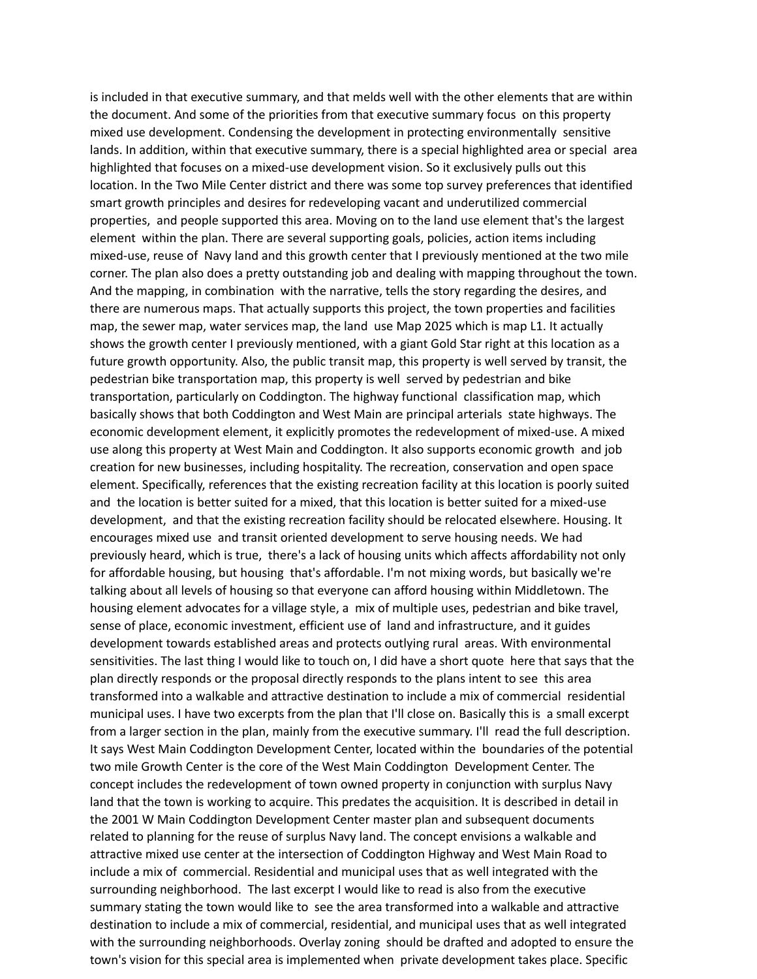is included in that executive summary, and that melds well with the other elements that are within the document. And some of the priorities from that executive summary focus on this property mixed use development. Condensing the development in protecting environmentally sensitive lands. In addition, within that executive summary, there is a special highlighted area or special area highlighted that focuses on a mixed-use development vision. So it exclusively pulls out this location. In the Two Mile Center district and there was some top survey preferences that identified smart growth principles and desires for redeveloping vacant and underutilized commercial properties, and people supported this area. Moving on to the land use element that's the largest element within the plan. There are several supporting goals, policies, action items including mixed-use, reuse of Navy land and this growth center that I previously mentioned at the two mile corner. The plan also does a pretty outstanding job and dealing with mapping throughout the town. And the mapping, in combination with the narrative, tells the story regarding the desires, and there are numerous maps. That actually supports this project, the town properties and facilities map, the sewer map, water services map, the land use Map 2025 which is map L1. It actually shows the growth center I previously mentioned, with a giant Gold Star right at this location as a future growth opportunity. Also, the public transit map, this property is well served by transit, the pedestrian bike transportation map, this property is well served by pedestrian and bike transportation, particularly on Coddington. The highway functional classification map, which basically shows that both Coddington and West Main are principal arterials state highways. The economic development element, it explicitly promotes the redevelopment of mixed-use. A mixed use along this property at West Main and Coddington. It also supports economic growth and job creation for new businesses, including hospitality. The recreation, conservation and open space element. Specifically, references that the existing recreation facility at this location is poorly suited and the location is better suited for a mixed, that this location is better suited for a mixed-use development, and that the existing recreation facility should be relocated elsewhere. Housing. It encourages mixed use and transit oriented development to serve housing needs. We had previously heard, which is true, there's a lack of housing units which affects affordability not only for affordable housing, but housing that's affordable. I'm not mixing words, but basically we're talking about all levels of housing so that everyone can afford housing within Middletown. The housing element advocates for a village style, a mix of multiple uses, pedestrian and bike travel, sense of place, economic investment, efficient use of land and infrastructure, and it guides development towards established areas and protects outlying rural areas. With environmental sensitivities. The last thing I would like to touch on, I did have a short quote here that says that the plan directly responds or the proposal directly responds to the plans intent to see this area transformed into a walkable and attractive destination to include a mix of commercial residential municipal uses. I have two excerpts from the plan that I'll close on. Basically this is a small excerpt from a larger section in the plan, mainly from the executive summary. I'll read the full description. It says West Main Coddington Development Center, located within the boundaries of the potential two mile Growth Center is the core of the West Main Coddington Development Center. The concept includes the redevelopment of town owned property in conjunction with surplus Navy land that the town is working to acquire. This predates the acquisition. It is described in detail in the 2001 W Main Coddington Development Center master plan and subsequent documents related to planning for the reuse of surplus Navy land. The concept envisions a walkable and attractive mixed use center at the intersection of Coddington Highway and West Main Road to include a mix of commercial. Residential and municipal uses that as well integrated with the surrounding neighborhood. The last excerpt I would like to read is also from the executive summary stating the town would like to see the area transformed into a walkable and attractive destination to include a mix of commercial, residential, and municipal uses that as well integrated with the surrounding neighborhoods. Overlay zoning should be drafted and adopted to ensure the town's vision for this special area is implemented when private development takes place. Specific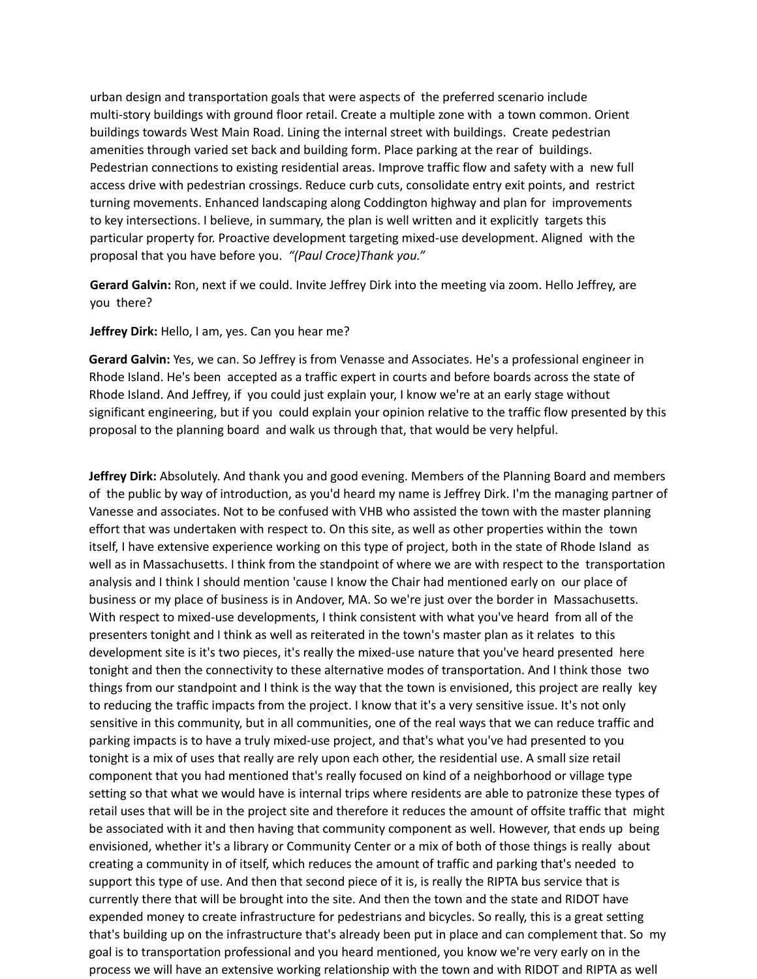urban design and transportation goals that were aspects of the preferred scenario include multi-story buildings with ground floor retail. Create a multiple zone with a town common. Orient buildings towards West Main Road. Lining the internal street with buildings. Create pedestrian amenities through varied set back and building form. Place parking at the rear of buildings. Pedestrian connections to existing residential areas. Improve traffic flow and safety with a new full access drive with pedestrian crossings. Reduce curb cuts, consolidate entry exit points, and restrict turning movements. Enhanced landscaping along Coddington highway and plan for improvements to key intersections. I believe, in summary, the plan is well written and it explicitly targets this particular property for. Proactive development targeting mixed-use development. Aligned with the proposal that you have before you. *"(Paul Croce)Thank you."*

**Gerard Galvin:** Ron, next if we could. Invite Jeffrey Dirk into the meeting via zoom. Hello Jeffrey, are you there?

**Jeffrey Dirk:** Hello, I am, yes. Can you hear me?

**Gerard Galvin:** Yes, we can. So Jeffrey is from Venasse and Associates. He's a professional engineer in Rhode Island. He's been accepted as a traffic expert in courts and before boards across the state of Rhode Island. And Jeffrey, if you could just explain your, I know we're at an early stage without significant engineering, but if you could explain your opinion relative to the traffic flow presented by this proposal to the planning board and walk us through that, that would be very helpful.

**Jeffrey Dirk:** Absolutely. And thank you and good evening. Members of the Planning Board and members of the public by way of introduction, as you'd heard my name is Jeffrey Dirk. I'm the managing partner of Vanesse and associates. Not to be confused with VHB who assisted the town with the master planning effort that was undertaken with respect to. On this site, as well as other properties within the town itself, I have extensive experience working on this type of project, both in the state of Rhode Island as well as in Massachusetts. I think from the standpoint of where we are with respect to the transportation analysis and I think I should mention 'cause I know the Chair had mentioned early on our place of business or my place of business is in Andover, MA. So we're just over the border in Massachusetts. With respect to mixed-use developments, I think consistent with what you've heard from all of the presenters tonight and I think as well as reiterated in the town's master plan as it relates to this development site is it's two pieces, it's really the mixed-use nature that you've heard presented here tonight and then the connectivity to these alternative modes of transportation. And I think those two things from our standpoint and I think is the way that the town is envisioned, this project are really key to reducing the traffic impacts from the project. I know that it's a very sensitive issue. It's not only sensitive in this community, but in all communities, one of the real ways that we can reduce traffic and parking impacts is to have a truly mixed-use project, and that's what you've had presented to you tonight is a mix of uses that really are rely upon each other, the residential use. A small size retail component that you had mentioned that's really focused on kind of a neighborhood or village type setting so that what we would have is internal trips where residents are able to patronize these types of retail uses that will be in the project site and therefore it reduces the amount of offsite traffic that might be associated with it and then having that community component as well. However, that ends up being envisioned, whether it's a library or Community Center or a mix of both of those things is really about creating a community in of itself, which reduces the amount of traffic and parking that's needed to support this type of use. And then that second piece of it is, is really the RIPTA bus service that is currently there that will be brought into the site. And then the town and the state and RIDOT have expended money to create infrastructure for pedestrians and bicycles. So really, this is a great setting that's building up on the infrastructure that's already been put in place and can complement that. So my goal is to transportation professional and you heard mentioned, you know we're very early on in the process we will have an extensive working relationship with the town and with RIDOT and RIPTA as well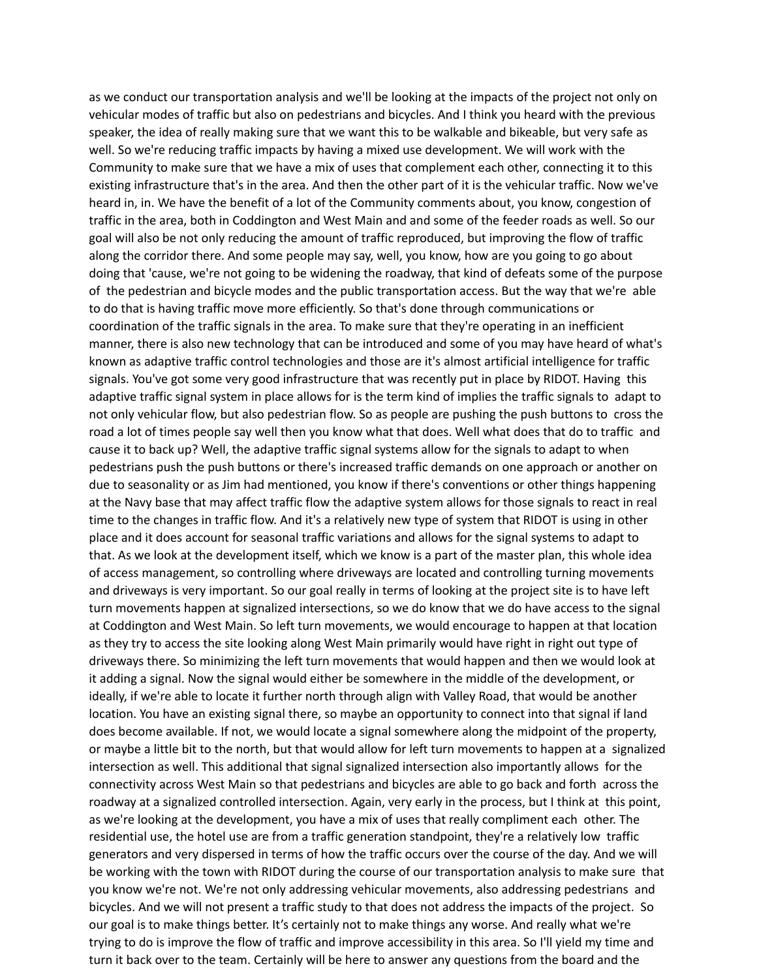as we conduct our transportation analysis and we'll be looking at the impacts of the project not only on vehicular modes of traffic but also on pedestrians and bicycles. And I think you heard with the previous speaker, the idea of really making sure that we want this to be walkable and bikeable, but very safe as well. So we're reducing traffic impacts by having a mixed use development. We will work with the Community to make sure that we have a mix of uses that complement each other, connecting it to this existing infrastructure that's in the area. And then the other part of it is the vehicular traffic. Now we've heard in, in. We have the benefit of a lot of the Community comments about, you know, congestion of traffic in the area, both in Coddington and West Main and and some of the feeder roads as well. So our goal will also be not only reducing the amount of traffic reproduced, but improving the flow of traffic along the corridor there. And some people may say, well, you know, how are you going to go about doing that 'cause, we're not going to be widening the roadway, that kind of defeats some of the purpose of the pedestrian and bicycle modes and the public transportation access. But the way that we're able to do that is having traffic move more efficiently. So that's done through communications or coordination of the traffic signals in the area. To make sure that they're operating in an inefficient manner, there is also new technology that can be introduced and some of you may have heard of what's known as adaptive traffic control technologies and those are it's almost artificial intelligence for traffic signals. You've got some very good infrastructure that was recently put in place by RIDOT. Having this adaptive traffic signal system in place allows for is the term kind of implies the traffic signals to adapt to not only vehicular flow, but also pedestrian flow. So as people are pushing the push buttons to cross the road a lot of times people say well then you know what that does. Well what does that do to traffic and cause it to back up? Well, the adaptive traffic signal systems allow for the signals to adapt to when pedestrians push the push buttons or there's increased traffic demands on one approach or another on due to seasonality or as Jim had mentioned, you know if there's conventions or other things happening at the Navy base that may affect traffic flow the adaptive system allows for those signals to react in real time to the changes in traffic flow. And it's a relatively new type of system that RIDOT is using in other place and it does account for seasonal traffic variations and allows for the signal systems to adapt to that. As we look at the development itself, which we know is a part of the master plan, this whole idea of access management, so controlling where driveways are located and controlling turning movements and driveways is very important. So our goal really in terms of looking at the project site is to have left turn movements happen at signalized intersections, so we do know that we do have access to the signal at Coddington and West Main. So left turn movements, we would encourage to happen at that location as they try to access the site looking along West Main primarily would have right in right out type of driveways there. So minimizing the left turn movements that would happen and then we would look at it adding a signal. Now the signal would either be somewhere in the middle of the development, or ideally, if we're able to locate it further north through align with Valley Road, that would be another location. You have an existing signal there, so maybe an opportunity to connect into that signal if land does become available. If not, we would locate a signal somewhere along the midpoint of the property, or maybe a little bit to the north, but that would allow for left turn movements to happen at a signalized intersection as well. This additional that signal signalized intersection also importantly allows for the connectivity across West Main so that pedestrians and bicycles are able to go back and forth across the roadway at a signalized controlled intersection. Again, very early in the process, but I think at this point, as we're looking at the development, you have a mix of uses that really compliment each other. The residential use, the hotel use are from a traffic generation standpoint, they're a relatively low traffic generators and very dispersed in terms of how the traffic occurs over the course of the day. And we will be working with the town with RIDOT during the course of our transportation analysis to make sure that you know we're not. We're not only addressing vehicular movements, also addressing pedestrians and bicycles. And we will not present a traffic study to that does not address the impacts of the project. So our goal is to make things better. It's certainly not to make things any worse. And really what we're trying to do is improve the flow of traffic and improve accessibility in this area. So I'll yield my time and turn it back over to the team. Certainly will be here to answer any questions from the board and the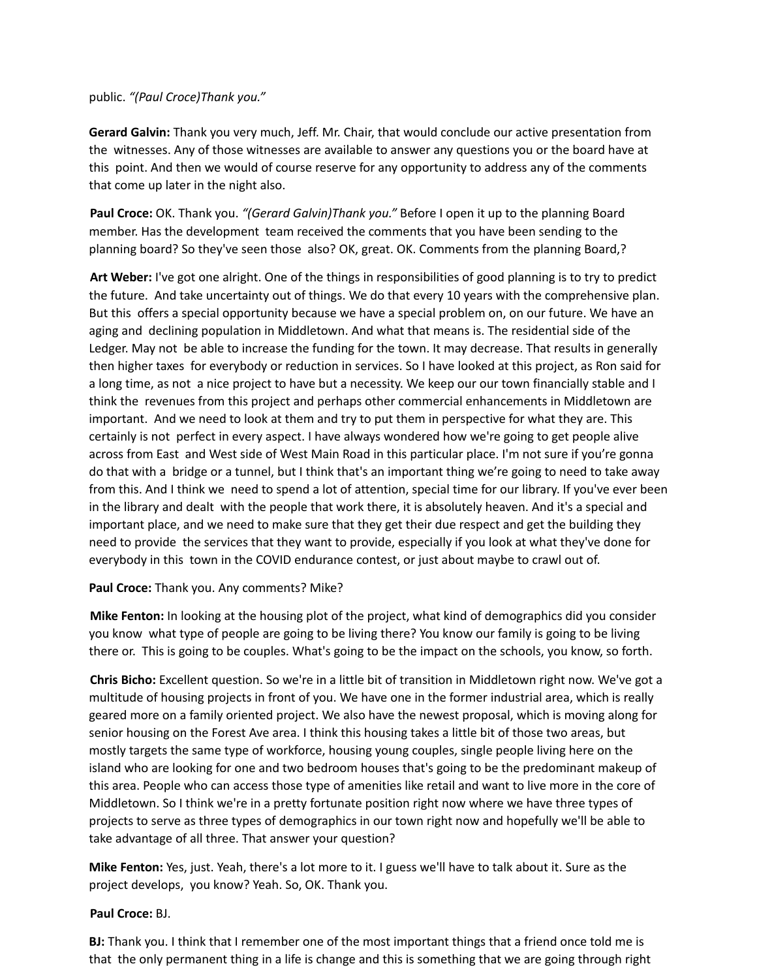### public. *"(Paul Croce)Thank you."*

**Gerard Galvin:** Thank you very much, Jeff. Mr. Chair, that would conclude our active presentation from the witnesses. Any of those witnesses are available to answer any questions you or the board have at this point. And then we would of course reserve for any opportunity to address any of the comments that come up later in the night also.

**Paul Croce:** OK. Thank you. *"(Gerard Galvin)Thank you."* Before I open it up to the planning Board member. Has the development team received the comments that you have been sending to the planning board? So they've seen those also? OK, great. OK. Comments from the planning Board,?

**Art Weber:** I've got one alright. One of the things in responsibilities of good planning is to try to predict the future. And take uncertainty out of things. We do that every 10 years with the comprehensive plan. But this offers a special opportunity because we have a special problem on, on our future. We have an aging and declining population in Middletown. And what that means is. The residential side of the Ledger. May not be able to increase the funding for the town. It may decrease. That results in generally then higher taxes for everybody or reduction in services. So I have looked at this project, as Ron said for a long time, as not a nice project to have but a necessity. We keep our our town financially stable and I think the revenues from this project and perhaps other commercial enhancements in Middletown are important. And we need to look at them and try to put them in perspective for what they are. This certainly is not perfect in every aspect. I have always wondered how we're going to get people alive across from East and West side of West Main Road in this particular place. I'm not sure if you're gonna do that with a bridge or a tunnel, but I think that's an important thing we're going to need to take away from this. And I think we need to spend a lot of attention, special time for our library. If you've ever been in the library and dealt with the people that work there, it is absolutely heaven. And it's a special and important place, and we need to make sure that they get their due respect and get the building they need to provide the services that they want to provide, especially if you look at what they've done for everybody in this town in the COVID endurance contest, or just about maybe to crawl out of.

### **Paul Croce:** Thank you. Any comments? Mike?

**Mike Fenton:** In looking at the housing plot of the project, what kind of demographics did you consider you know what type of people are going to be living there? You know our family is going to be living there or. This is going to be couples. What's going to be the impact on the schools, you know, so forth.

**Chris Bicho:** Excellent question. So we're in a little bit of transition in Middletown right now. We've got a multitude of housing projects in front of you. We have one in the former industrial area, which is really geared more on a family oriented project. We also have the newest proposal, which is moving along for senior housing on the Forest Ave area. I think this housing takes a little bit of those two areas, but mostly targets the same type of workforce, housing young couples, single people living here on the island who are looking for one and two bedroom houses that's going to be the predominant makeup of this area. People who can access those type of amenities like retail and want to live more in the core of Middletown. So I think we're in a pretty fortunate position right now where we have three types of projects to serve as three types of demographics in our town right now and hopefully we'll be able to take advantage of all three. That answer your question?

**Mike Fenton:** Yes, just. Yeah, there's a lot more to it. I guess we'll have to talk about it. Sure as the project develops, you know? Yeah. So, OK. Thank you.

### **Paul Croce:** BJ.

**BJ:** Thank you. I think that I remember one of the most important things that a friend once told me is that the only permanent thing in a life is change and this is something that we are going through right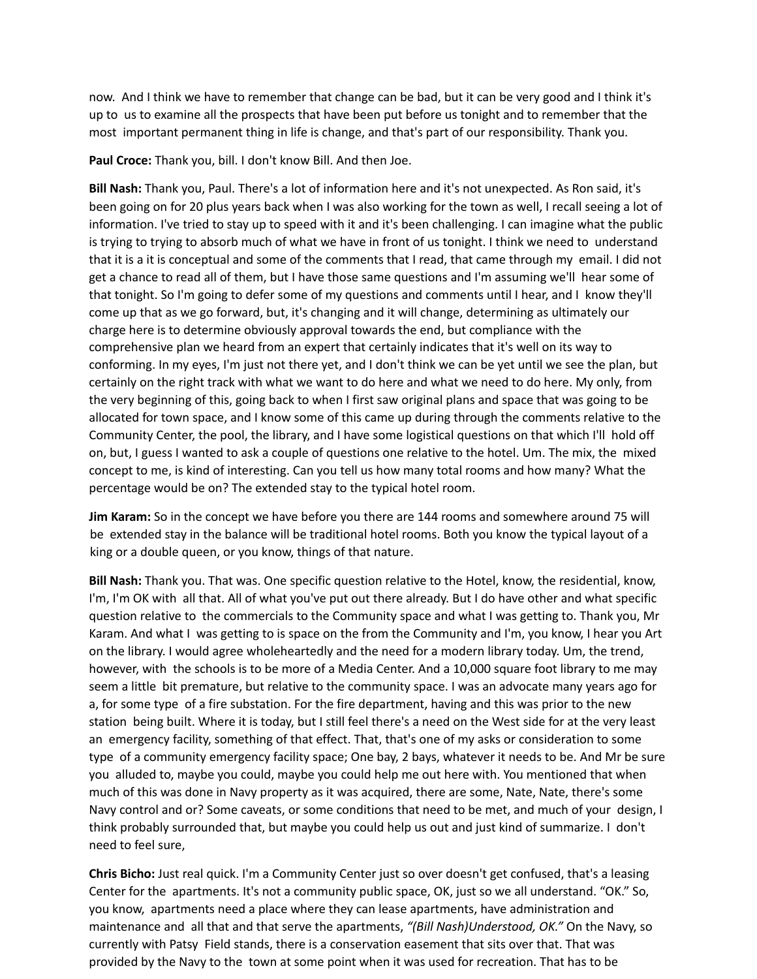now. And I think we have to remember that change can be bad, but it can be very good and I think it's up to us to examine all the prospects that have been put before us tonight and to remember that the most important permanent thing in life is change, and that's part of our responsibility. Thank you.

**Paul Croce:** Thank you, bill. I don't know Bill. And then Joe.

**Bill Nash:** Thank you, Paul. There's a lot of information here and it's not unexpected. As Ron said, it's been going on for 20 plus years back when I was also working for the town as well, I recall seeing a lot of information. I've tried to stay up to speed with it and it's been challenging. I can imagine what the public is trying to trying to absorb much of what we have in front of us tonight. I think we need to understand that it is a it is conceptual and some of the comments that I read, that came through my email. I did not get a chance to read all of them, but I have those same questions and I'm assuming we'll hear some of that tonight. So I'm going to defer some of my questions and comments until I hear, and I know they'll come up that as we go forward, but, it's changing and it will change, determining as ultimately our charge here is to determine obviously approval towards the end, but compliance with the comprehensive plan we heard from an expert that certainly indicates that it's well on its way to conforming. In my eyes, I'm just not there yet, and I don't think we can be yet until we see the plan, but certainly on the right track with what we want to do here and what we need to do here. My only, from the very beginning of this, going back to when I first saw original plans and space that was going to be allocated for town space, and I know some of this came up during through the comments relative to the Community Center, the pool, the library, and I have some logistical questions on that which I'll hold off on, but, I guess I wanted to ask a couple of questions one relative to the hotel. Um. The mix, the mixed concept to me, is kind of interesting. Can you tell us how many total rooms and how many? What the percentage would be on? The extended stay to the typical hotel room.

**Jim Karam:** So in the concept we have before you there are 144 rooms and somewhere around 75 will be extended stay in the balance will be traditional hotel rooms. Both you know the typical layout of a king or a double queen, or you know, things of that nature.

**Bill Nash:** Thank you. That was. One specific question relative to the Hotel, know, the residential, know, I'm, I'm OK with all that. All of what you've put out there already. But I do have other and what specific question relative to the commercials to the Community space and what I was getting to. Thank you, Mr Karam. And what I was getting to is space on the from the Community and I'm, you know, I hear you Art on the library. I would agree wholeheartedly and the need for a modern library today. Um, the trend, however, with the schools is to be more of a Media Center. And a 10,000 square foot library to me may seem a little bit premature, but relative to the community space. I was an advocate many years ago for a, for some type of a fire substation. For the fire department, having and this was prior to the new station being built. Where it is today, but I still feel there's a need on the West side for at the very least an emergency facility, something of that effect. That, that's one of my asks or consideration to some type of a community emergency facility space; One bay, 2 bays, whatever it needs to be. And Mr be sure you alluded to, maybe you could, maybe you could help me out here with. You mentioned that when much of this was done in Navy property as it was acquired, there are some, Nate, Nate, there's some Navy control and or? Some caveats, or some conditions that need to be met, and much of your design, I think probably surrounded that, but maybe you could help us out and just kind of summarize. I don't need to feel sure,

**Chris Bicho:** Just real quick. I'm a Community Center just so over doesn't get confused, that's a leasing Center for the apartments. It's not a community public space, OK, just so we all understand. "OK." So, you know, apartments need a place where they can lease apartments, have administration and maintenance and all that and that serve the apartments, *"(Bill Nash)Understood, OK."* On the Navy, so currently with Patsy Field stands, there is a conservation easement that sits over that. That was provided by the Navy to the town at some point when it was used for recreation. That has to be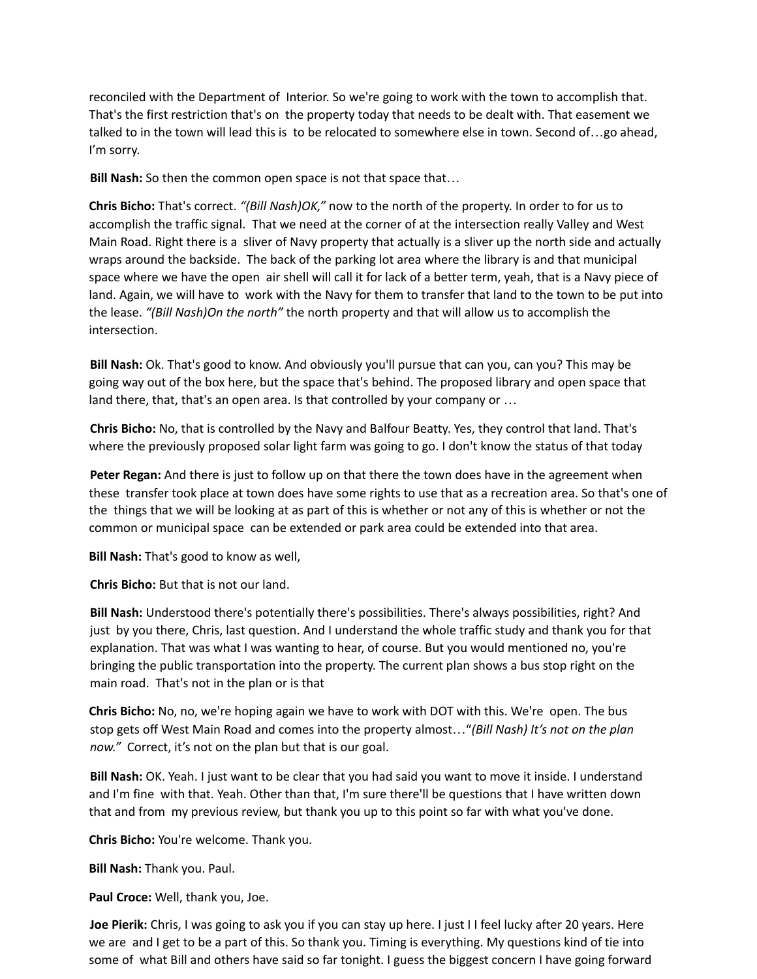reconciled with the Department of Interior. So we're going to work with the town to accomplish that. That's the first restriction that's on the property today that needs to be dealt with. That easement we talked to in the town will lead this is to be relocated to somewhere else in town. Second of…go ahead, I'm sorry.

**Bill Nash:** So then the common open space is not that space that…

**Chris Bicho:** That's correct. *"(Bill Nash)OK,"* now to the north of the property. In order to for us to accomplish the traffic signal. That we need at the corner of at the intersection really Valley and West Main Road. Right there is a sliver of Navy property that actually is a sliver up the north side and actually wraps around the backside. The back of the parking lot area where the library is and that municipal space where we have the open air shell will call it for lack of a better term, yeah, that is a Navy piece of land. Again, we will have to work with the Navy for them to transfer that land to the town to be put into the lease. *"(Bill Nash)On the north"* the north property and that will allow us to accomplish the intersection.

**Bill Nash:** Ok. That's good to know. And obviously you'll pursue that can you, can you? This may be going way out of the box here, but the space that's behind. The proposed library and open space that land there, that, that's an open area. Is that controlled by your company or …

**Chris Bicho:** No, that is controlled by the Navy and Balfour Beatty. Yes, they control that land. That's where the previously proposed solar light farm was going to go. I don't know the status of that today

**Peter Regan:** And there is just to follow up on that there the town does have in the agreement when these transfer took place at town does have some rights to use that as a recreation area. So that's one of the things that we will be looking at as part of this is whether or not any of this is whether or not the common or municipal space can be extended or park area could be extended into that area.

**Bill Nash:** That's good to know as well,

**Chris Bicho:** But that is not our land.

**Bill Nash:** Understood there's potentially there's possibilities. There's always possibilities, right? And just by you there, Chris, last question. And I understand the whole traffic study and thank you for that explanation. That was what I was wanting to hear, of course. But you would mentioned no, you're bringing the public transportation into the property. The current plan shows a bus stop right on the main road. That's not in the plan or is that

**Chris Bicho:** No, no, we're hoping again we have to work with DOT with this. We're open. The bus stop gets off West Main Road and comes into the property almost…"*(Bill Nash) It's not on the plan now."* Correct, it's not on the plan but that is our goal.

**Bill Nash:** OK. Yeah. I just want to be clear that you had said you want to move it inside. I understand and I'm fine with that. Yeah. Other than that, I'm sure there'll be questions that I have written down that and from my previous review, but thank you up to this point so far with what you've done.

**Chris Bicho:** You're welcome. Thank you.

**Bill Nash:** Thank you. Paul.

**Paul Croce:** Well, thank you, Joe.

**Joe Pierik:** Chris, I was going to ask you if you can stay up here. I just I I feel lucky after 20 years. Here we are and I get to be a part of this. So thank you. Timing is everything. My questions kind of tie into some of what Bill and others have said so far tonight. I guess the biggest concern I have going forward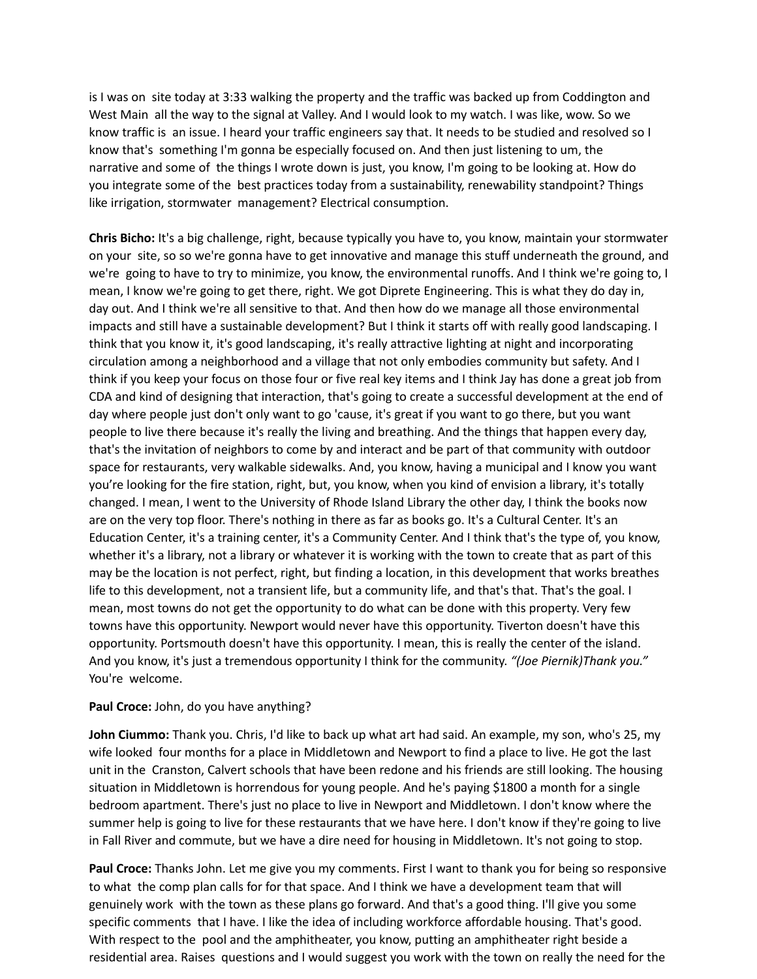is I was on site today at 3:33 walking the property and the traffic was backed up from Coddington and West Main all the way to the signal at Valley. And I would look to my watch. I was like, wow. So we know traffic is an issue. I heard your traffic engineers say that. It needs to be studied and resolved so I know that's something I'm gonna be especially focused on. And then just listening to um, the narrative and some of the things I wrote down is just, you know, I'm going to be looking at. How do you integrate some of the best practices today from a sustainability, renewability standpoint? Things like irrigation, stormwater management? Electrical consumption.

**Chris Bicho:** It's a big challenge, right, because typically you have to, you know, maintain your stormwater on your site, so so we're gonna have to get innovative and manage this stuff underneath the ground, and we're going to have to try to minimize, you know, the environmental runoffs. And I think we're going to, I mean, I know we're going to get there, right. We got Diprete Engineering. This is what they do day in, day out. And I think we're all sensitive to that. And then how do we manage all those environmental impacts and still have a sustainable development? But I think it starts off with really good landscaping. I think that you know it, it's good landscaping, it's really attractive lighting at night and incorporating circulation among a neighborhood and a village that not only embodies community but safety. And I think if you keep your focus on those four or five real key items and I think Jay has done a great job from CDA and kind of designing that interaction, that's going to create a successful development at the end of day where people just don't only want to go 'cause, it's great if you want to go there, but you want people to live there because it's really the living and breathing. And the things that happen every day, that's the invitation of neighbors to come by and interact and be part of that community with outdoor space for restaurants, very walkable sidewalks. And, you know, having a municipal and I know you want you're looking for the fire station, right, but, you know, when you kind of envision a library, it's totally changed. I mean, I went to the University of Rhode Island Library the other day, I think the books now are on the very top floor. There's nothing in there as far as books go. It's a Cultural Center. It's an Education Center, it's a training center, it's a Community Center. And I think that's the type of, you know, whether it's a library, not a library or whatever it is working with the town to create that as part of this may be the location is not perfect, right, but finding a location, in this development that works breathes life to this development, not a transient life, but a community life, and that's that. That's the goal. I mean, most towns do not get the opportunity to do what can be done with this property. Very few towns have this opportunity. Newport would never have this opportunity. Tiverton doesn't have this opportunity. Portsmouth doesn't have this opportunity. I mean, this is really the center of the island. And you know, it's just a tremendous opportunity I think for the community. *"(Joe Piernik)Thank you."* You're welcome.

## **Paul Croce:** John, do you have anything?

**John Ciummo:** Thank you. Chris, I'd like to back up what art had said. An example, my son, who's 25, my wife looked four months for a place in Middletown and Newport to find a place to live. He got the last unit in the Cranston, Calvert schools that have been redone and his friends are still looking. The housing situation in Middletown is horrendous for young people. And he's paying \$1800 a month for a single bedroom apartment. There's just no place to live in Newport and Middletown. I don't know where the summer help is going to live for these restaurants that we have here. I don't know if they're going to live in Fall River and commute, but we have a dire need for housing in Middletown. It's not going to stop.

**Paul Croce:** Thanks John. Let me give you my comments. First I want to thank you for being so responsive to what the comp plan calls for for that space. And I think we have a development team that will genuinely work with the town as these plans go forward. And that's a good thing. I'll give you some specific comments that I have. I like the idea of including workforce affordable housing. That's good. With respect to the pool and the amphitheater, you know, putting an amphitheater right beside a residential area. Raises questions and I would suggest you work with the town on really the need for the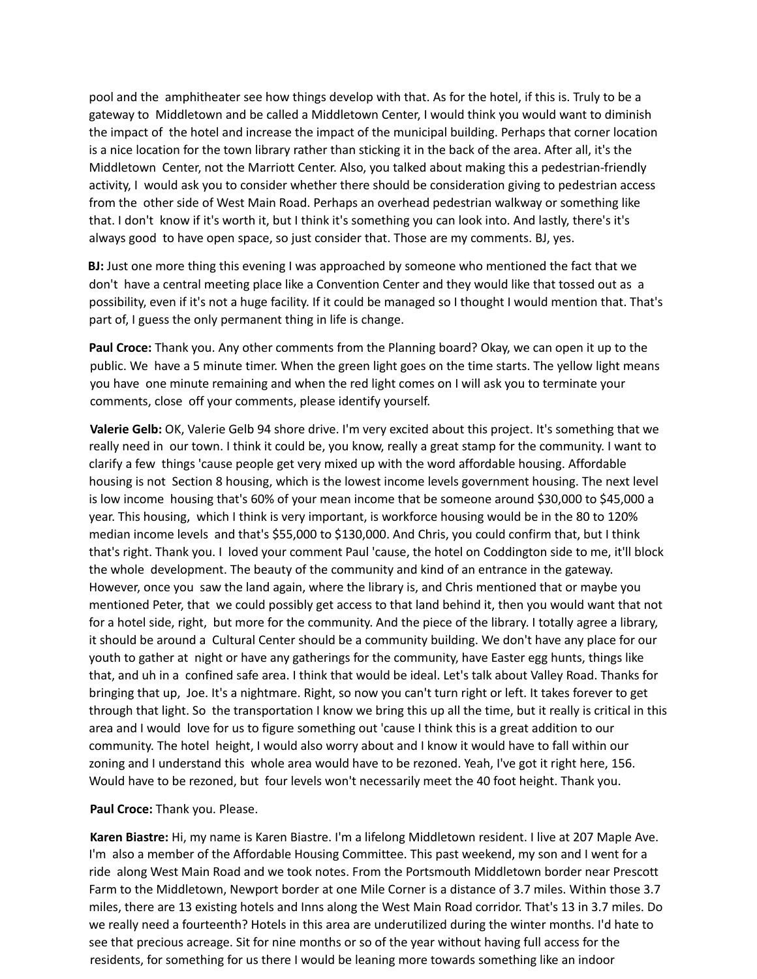pool and the amphitheater see how things develop with that. As for the hotel, if this is. Truly to be a gateway to Middletown and be called a Middletown Center, I would think you would want to diminish the impact of the hotel and increase the impact of the municipal building. Perhaps that corner location is a nice location for the town library rather than sticking it in the back of the area. After all, it's the Middletown Center, not the Marriott Center. Also, you talked about making this a pedestrian-friendly activity, I would ask you to consider whether there should be consideration giving to pedestrian access from the other side of West Main Road. Perhaps an overhead pedestrian walkway or something like that. I don't know if it's worth it, but I think it's something you can look into. And lastly, there's it's always good to have open space, so just consider that. Those are my comments. BJ, yes.

**BJ:** Just one more thing this evening I was approached by someone who mentioned the fact that we don't have a central meeting place like a Convention Center and they would like that tossed out as a possibility, even if it's not a huge facility. If it could be managed so I thought I would mention that. That's part of, I guess the only permanent thing in life is change.

**Paul Croce:** Thank you. Any other comments from the Planning board? Okay, we can open it up to the public. We have a 5 minute timer. When the green light goes on the time starts. The yellow light means you have one minute remaining and when the red light comes on I will ask you to terminate your comments, close off your comments, please identify yourself.

**Valerie Gelb:** OK, Valerie Gelb 94 shore drive. I'm very excited about this project. It's something that we really need in our town. I think it could be, you know, really a great stamp for the community. I want to clarify a few things 'cause people get very mixed up with the word affordable housing. Affordable housing is not Section 8 housing, which is the lowest income levels government housing. The next level is low income housing that's 60% of your mean income that be someone around \$30,000 to \$45,000 a year. This housing, which I think is very important, is workforce housing would be in the 80 to 120% median income levels and that's \$55,000 to \$130,000. And Chris, you could confirm that, but I think that's right. Thank you. I loved your comment Paul 'cause, the hotel on Coddington side to me, it'll block the whole development. The beauty of the community and kind of an entrance in the gateway. However, once you saw the land again, where the library is, and Chris mentioned that or maybe you mentioned Peter, that we could possibly get access to that land behind it, then you would want that not for a hotel side, right, but more for the community. And the piece of the library. I totally agree a library, it should be around a Cultural Center should be a community building. We don't have any place for our youth to gather at night or have any gatherings for the community, have Easter egg hunts, things like that, and uh in a confined safe area. I think that would be ideal. Let's talk about Valley Road. Thanks for bringing that up, Joe. It's a nightmare. Right, so now you can't turn right or left. It takes forever to get through that light. So the transportation I know we bring this up all the time, but it really is critical in this area and I would love for us to figure something out 'cause I think this is a great addition to our community. The hotel height, I would also worry about and I know it would have to fall within our zoning and I understand this whole area would have to be rezoned. Yeah, I've got it right here, 156. Would have to be rezoned, but four levels won't necessarily meet the 40 foot height. Thank you.

### **Paul Croce:** Thank you. Please.

**Karen Biastre:** Hi, my name is Karen Biastre. I'm a lifelong Middletown resident. I live at 207 Maple Ave. I'm also a member of the Affordable Housing Committee. This past weekend, my son and I went for a ride along West Main Road and we took notes. From the Portsmouth Middletown border near Prescott Farm to the Middletown, Newport border at one Mile Corner is a distance of 3.7 miles. Within those 3.7 miles, there are 13 existing hotels and Inns along the West Main Road corridor. That's 13 in 3.7 miles. Do we really need a fourteenth? Hotels in this area are underutilized during the winter months. I'd hate to see that precious acreage. Sit for nine months or so of the year without having full access for the residents, for something for us there I would be leaning more towards something like an indoor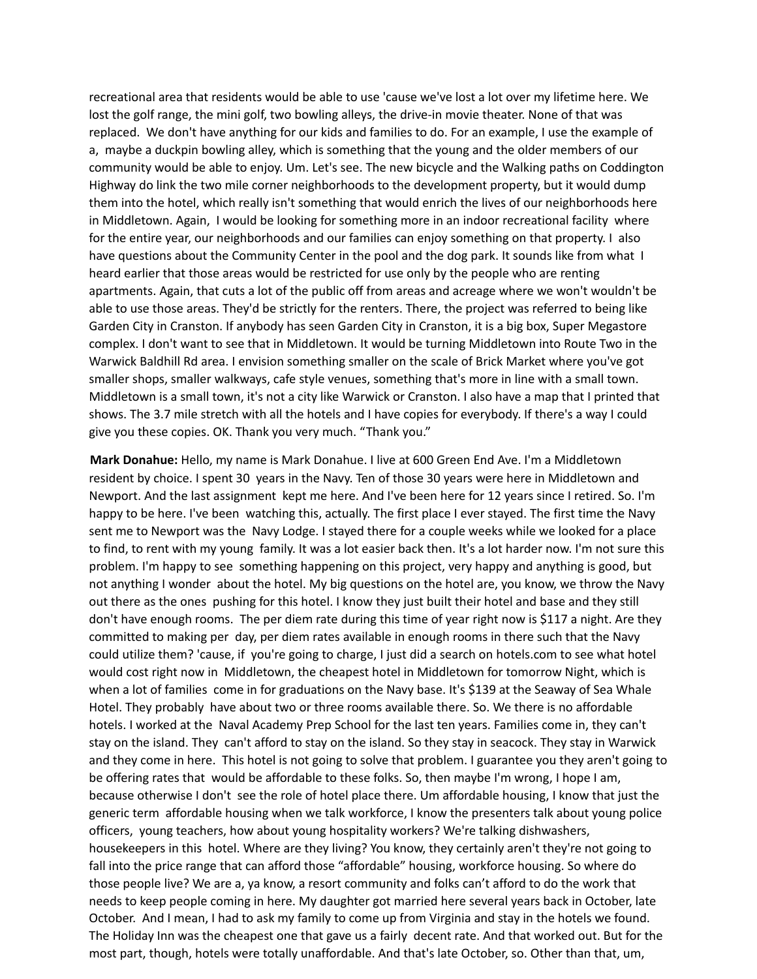recreational area that residents would be able to use 'cause we've lost a lot over my lifetime here. We lost the golf range, the mini golf, two bowling alleys, the drive-in movie theater. None of that was replaced. We don't have anything for our kids and families to do. For an example, I use the example of a, maybe a duckpin bowling alley, which is something that the young and the older members of our community would be able to enjoy. Um. Let's see. The new bicycle and the Walking paths on Coddington Highway do link the two mile corner neighborhoods to the development property, but it would dump them into the hotel, which really isn't something that would enrich the lives of our neighborhoods here in Middletown. Again, I would be looking for something more in an indoor recreational facility where for the entire year, our neighborhoods and our families can enjoy something on that property. I also have questions about the Community Center in the pool and the dog park. It sounds like from what I heard earlier that those areas would be restricted for use only by the people who are renting apartments. Again, that cuts a lot of the public off from areas and acreage where we won't wouldn't be able to use those areas. They'd be strictly for the renters. There, the project was referred to being like Garden City in Cranston. If anybody has seen Garden City in Cranston, it is a big box, Super Megastore complex. I don't want to see that in Middletown. It would be turning Middletown into Route Two in the Warwick Baldhill Rd area. I envision something smaller on the scale of Brick Market where you've got smaller shops, smaller walkways, cafe style venues, something that's more in line with a small town. Middletown is a small town, it's not a city like Warwick or Cranston. I also have a map that I printed that shows. The 3.7 mile stretch with all the hotels and I have copies for everybody. If there's a way I could give you these copies. OK. Thank you very much. "Thank you."

**Mark Donahue:** Hello, my name is Mark Donahue. I live at 600 Green End Ave. I'm a Middletown resident by choice. I spent 30 years in the Navy. Ten of those 30 years were here in Middletown and Newport. And the last assignment kept me here. And I've been here for 12 years since I retired. So. I'm happy to be here. I've been watching this, actually. The first place I ever stayed. The first time the Navy sent me to Newport was the Navy Lodge. I stayed there for a couple weeks while we looked for a place to find, to rent with my young family. It was a lot easier back then. It's a lot harder now. I'm not sure this problem. I'm happy to see something happening on this project, very happy and anything is good, but not anything I wonder about the hotel. My big questions on the hotel are, you know, we throw the Navy out there as the ones pushing for this hotel. I know they just built their hotel and base and they still don't have enough rooms. The per diem rate during this time of year right now is \$117 a night. Are they committed to making per day, per diem rates available in enough rooms in there such that the Navy could utilize them? 'cause, if you're going to charge, I just did a search on hotels.com to see what hotel would cost right now in Middletown, the cheapest hotel in Middletown for tomorrow Night, which is when a lot of families come in for graduations on the Navy base. It's \$139 at the Seaway of Sea Whale Hotel. They probably have about two or three rooms available there. So. We there is no affordable hotels. I worked at the Naval Academy Prep School for the last ten years. Families come in, they can't stay on the island. They can't afford to stay on the island. So they stay in seacock. They stay in Warwick and they come in here. This hotel is not going to solve that problem. I guarantee you they aren't going to be offering rates that would be affordable to these folks. So, then maybe I'm wrong, I hope I am, because otherwise I don't see the role of hotel place there. Um affordable housing, I know that just the generic term affordable housing when we talk workforce, I know the presenters talk about young police officers, young teachers, how about young hospitality workers? We're talking dishwashers, housekeepers in this hotel. Where are they living? You know, they certainly aren't they're not going to fall into the price range that can afford those "affordable" housing, workforce housing. So where do those people live? We are a, ya know, a resort community and folks can't afford to do the work that needs to keep people coming in here. My daughter got married here several years back in October, late October. And I mean, I had to ask my family to come up from Virginia and stay in the hotels we found. The Holiday Inn was the cheapest one that gave us a fairly decent rate. And that worked out. But for the most part, though, hotels were totally unaffordable. And that's late October, so. Other than that, um,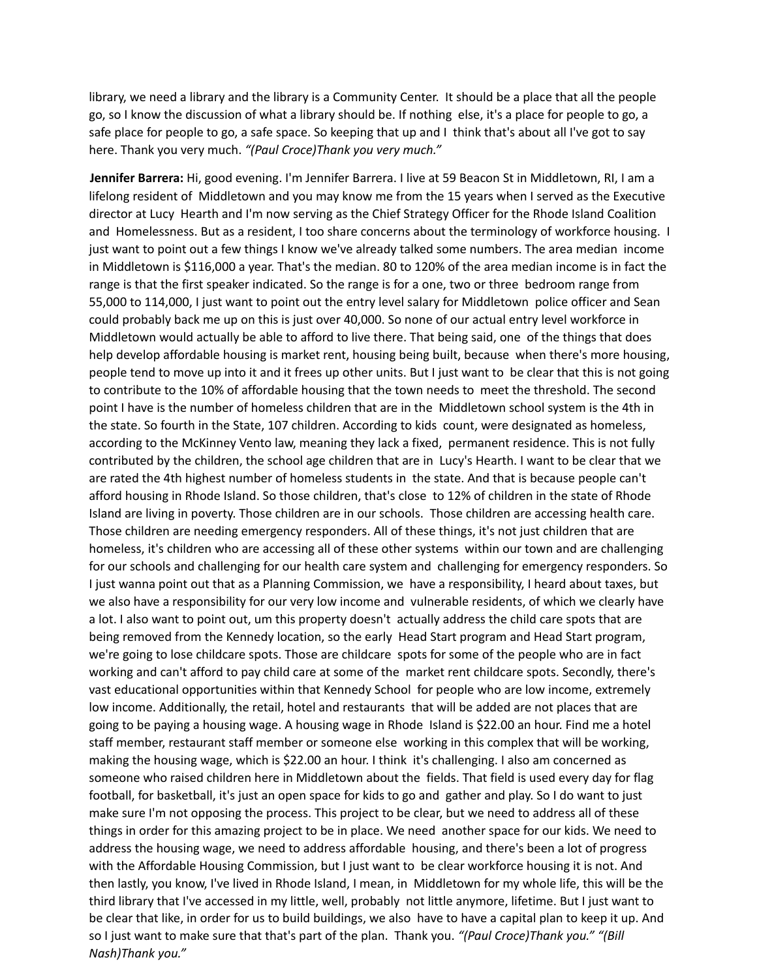library, we need a library and the library is a Community Center. It should be a place that all the people go, so I know the discussion of what a library should be. If nothing else, it's a place for people to go, a safe place for people to go, a safe space. So keeping that up and I think that's about all I've got to say here. Thank you very much. *"(Paul Croce)Thank you very much."*

**Jennifer Barrera:** Hi, good evening. I'm Jennifer Barrera. I live at 59 Beacon St in Middletown, RI, I am a lifelong resident of Middletown and you may know me from the 15 years when I served as the Executive director at Lucy Hearth and I'm now serving as the Chief Strategy Officer for the Rhode Island Coalition and Homelessness. But as a resident, I too share concerns about the terminology of workforce housing. I just want to point out a few things I know we've already talked some numbers. The area median income in Middletown is \$116,000 a year. That's the median. 80 to 120% of the area median income is in fact the range is that the first speaker indicated. So the range is for a one, two or three bedroom range from 55,000 to 114,000, I just want to point out the entry level salary for Middletown police officer and Sean could probably back me up on this is just over 40,000. So none of our actual entry level workforce in Middletown would actually be able to afford to live there. That being said, one of the things that does help develop affordable housing is market rent, housing being built, because when there's more housing, people tend to move up into it and it frees up other units. But I just want to be clear that this is not going to contribute to the 10% of affordable housing that the town needs to meet the threshold. The second point I have is the number of homeless children that are in the Middletown school system is the 4th in the state. So fourth in the State, 107 children. According to kids count, were designated as homeless, according to the McKinney Vento law, meaning they lack a fixed, permanent residence. This is not fully contributed by the children, the school age children that are in Lucy's Hearth. I want to be clear that we are rated the 4th highest number of homeless students in the state. And that is because people can't afford housing in Rhode Island. So those children, that's close to 12% of children in the state of Rhode Island are living in poverty. Those children are in our schools. Those children are accessing health care. Those children are needing emergency responders. All of these things, it's not just children that are homeless, it's children who are accessing all of these other systems within our town and are challenging for our schools and challenging for our health care system and challenging for emergency responders. So I just wanna point out that as a Planning Commission, we have a responsibility, I heard about taxes, but we also have a responsibility for our very low income and vulnerable residents, of which we clearly have a lot. I also want to point out, um this property doesn't actually address the child care spots that are being removed from the Kennedy location, so the early Head Start program and Head Start program, we're going to lose childcare spots. Those are childcare spots for some of the people who are in fact working and can't afford to pay child care at some of the market rent childcare spots. Secondly, there's vast educational opportunities within that Kennedy School for people who are low income, extremely low income. Additionally, the retail, hotel and restaurants that will be added are not places that are going to be paying a housing wage. A housing wage in Rhode Island is \$22.00 an hour. Find me a hotel staff member, restaurant staff member or someone else working in this complex that will be working, making the housing wage, which is \$22.00 an hour. I think it's challenging. I also am concerned as someone who raised children here in Middletown about the fields. That field is used every day for flag football, for basketball, it's just an open space for kids to go and gather and play. So I do want to just make sure I'm not opposing the process. This project to be clear, but we need to address all of these things in order for this amazing project to be in place. We need another space for our kids. We need to address the housing wage, we need to address affordable housing, and there's been a lot of progress with the Affordable Housing Commission, but I just want to be clear workforce housing it is not. And then lastly, you know, I've lived in Rhode Island, I mean, in Middletown for my whole life, this will be the third library that I've accessed in my little, well, probably not little anymore, lifetime. But I just want to be clear that like, in order for us to build buildings, we also have to have a capital plan to keep it up. And so I just want to make sure that that's part of the plan. Thank you. *"(Paul Croce)Thank you." "(Bill Nash)Thank you."*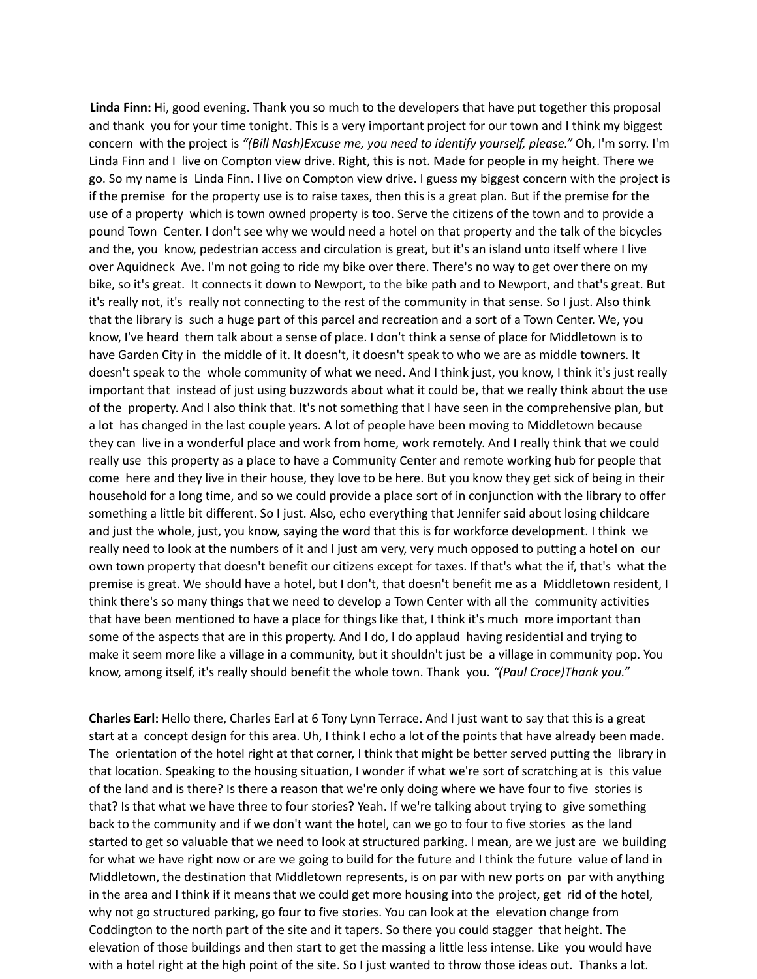**Linda Finn:** Hi, good evening. Thank you so much to the developers that have put together this proposal and thank you for your time tonight. This is a very important project for our town and I think my biggest concern with the project is *"(Bill Nash)Excuse me, you need to identify yourself, please."* Oh, I'm sorry. I'm Linda Finn and I live on Compton view drive. Right, this is not. Made for people in my height. There we go. So my name is Linda Finn. I live on Compton view drive. I guess my biggest concern with the project is if the premise for the property use is to raise taxes, then this is a great plan. But if the premise for the use of a property which is town owned property is too. Serve the citizens of the town and to provide a pound Town Center. I don't see why we would need a hotel on that property and the talk of the bicycles and the, you know, pedestrian access and circulation is great, but it's an island unto itself where I live over Aquidneck Ave. I'm not going to ride my bike over there. There's no way to get over there on my bike, so it's great. It connects it down to Newport, to the bike path and to Newport, and that's great. But it's really not, it's really not connecting to the rest of the community in that sense. So I just. Also think that the library is such a huge part of this parcel and recreation and a sort of a Town Center. We, you know, I've heard them talk about a sense of place. I don't think a sense of place for Middletown is to have Garden City in the middle of it. It doesn't, it doesn't speak to who we are as middle towners. It doesn't speak to the whole community of what we need. And I think just, you know, I think it's just really important that instead of just using buzzwords about what it could be, that we really think about the use of the property. And I also think that. It's not something that I have seen in the comprehensive plan, but a lot has changed in the last couple years. A lot of people have been moving to Middletown because they can live in a wonderful place and work from home, work remotely. And I really think that we could really use this property as a place to have a Community Center and remote working hub for people that come here and they live in their house, they love to be here. But you know they get sick of being in their household for a long time, and so we could provide a place sort of in conjunction with the library to offer something a little bit different. So I just. Also, echo everything that Jennifer said about losing childcare and just the whole, just, you know, saying the word that this is for workforce development. I think we really need to look at the numbers of it and I just am very, very much opposed to putting a hotel on our own town property that doesn't benefit our citizens except for taxes. If that's what the if, that's what the premise is great. We should have a hotel, but I don't, that doesn't benefit me as a Middletown resident, I think there's so many things that we need to develop a Town Center with all the community activities that have been mentioned to have a place for things like that, I think it's much more important than some of the aspects that are in this property. And I do, I do applaud having residential and trying to make it seem more like a village in a community, but it shouldn't just be a village in community pop. You know, among itself, it's really should benefit the whole town. Thank you. *"(Paul Croce)Thank you."*

**Charles Earl:** Hello there, Charles Earl at 6 Tony Lynn Terrace. And I just want to say that this is a great start at a concept design for this area. Uh, I think I echo a lot of the points that have already been made. The orientation of the hotel right at that corner, I think that might be better served putting the library in that location. Speaking to the housing situation, I wonder if what we're sort of scratching at is this value of the land and is there? Is there a reason that we're only doing where we have four to five stories is that? Is that what we have three to four stories? Yeah. If we're talking about trying to give something back to the community and if we don't want the hotel, can we go to four to five stories as the land started to get so valuable that we need to look at structured parking. I mean, are we just are we building for what we have right now or are we going to build for the future and I think the future value of land in Middletown, the destination that Middletown represents, is on par with new ports on par with anything in the area and I think if it means that we could get more housing into the project, get rid of the hotel, why not go structured parking, go four to five stories. You can look at the elevation change from Coddington to the north part of the site and it tapers. So there you could stagger that height. The elevation of those buildings and then start to get the massing a little less intense. Like you would have with a hotel right at the high point of the site. So I just wanted to throw those ideas out. Thanks a lot.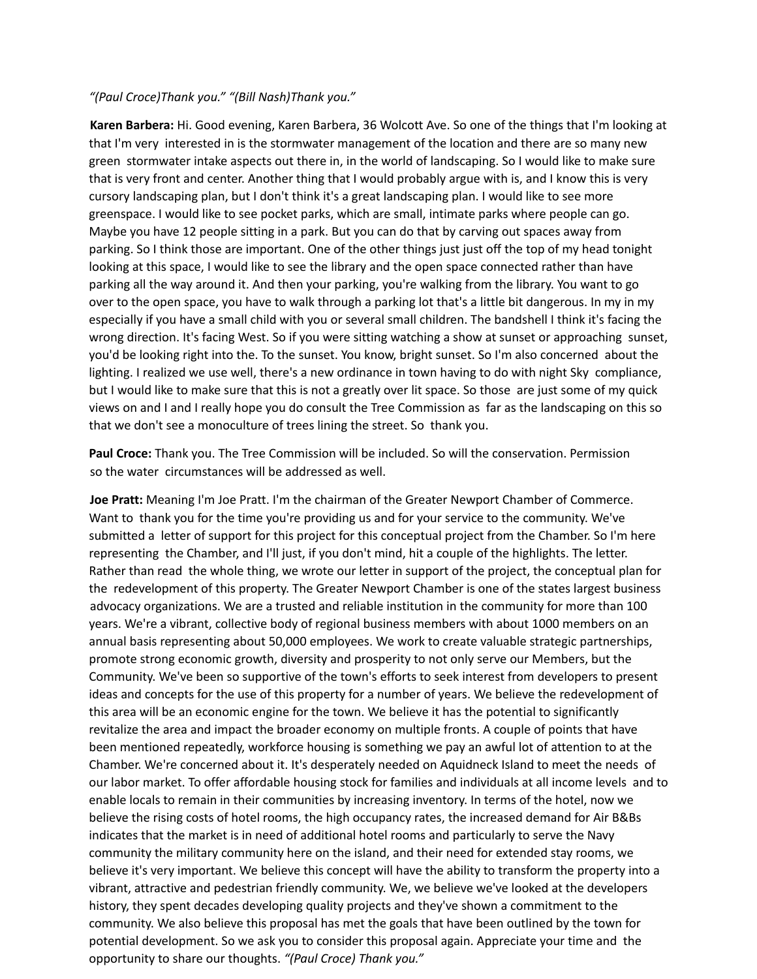### *"(Paul Croce)Thank you." "(Bill Nash)Thank you."*

**Karen Barbera:** Hi. Good evening, Karen Barbera, 36 Wolcott Ave. So one of the things that I'm looking at that I'm very interested in is the stormwater management of the location and there are so many new green stormwater intake aspects out there in, in the world of landscaping. So I would like to make sure that is very front and center. Another thing that I would probably argue with is, and I know this is very cursory landscaping plan, but I don't think it's a great landscaping plan. I would like to see more greenspace. I would like to see pocket parks, which are small, intimate parks where people can go. Maybe you have 12 people sitting in a park. But you can do that by carving out spaces away from parking. So I think those are important. One of the other things just just off the top of my head tonight looking at this space, I would like to see the library and the open space connected rather than have parking all the way around it. And then your parking, you're walking from the library. You want to go over to the open space, you have to walk through a parking lot that's a little bit dangerous. In my in my especially if you have a small child with you or several small children. The bandshell I think it's facing the wrong direction. It's facing West. So if you were sitting watching a show at sunset or approaching sunset, you'd be looking right into the. To the sunset. You know, bright sunset. So I'm also concerned about the lighting. I realized we use well, there's a new ordinance in town having to do with night Sky compliance, but I would like to make sure that this is not a greatly over lit space. So those are just some of my quick views on and I and I really hope you do consult the Tree Commission as far as the landscaping on this so that we don't see a monoculture of trees lining the street. So thank you.

**Paul Croce:** Thank you. The Tree Commission will be included. So will the conservation. Permission so the water circumstances will be addressed as well.

**Joe Pratt:** Meaning I'm Joe Pratt. I'm the chairman of the Greater Newport Chamber of Commerce. Want to thank you for the time you're providing us and for your service to the community. We've submitted a letter of support for this project for this conceptual project from the Chamber. So I'm here representing the Chamber, and I'll just, if you don't mind, hit a couple of the highlights. The letter. Rather than read the whole thing, we wrote our letter in support of the project, the conceptual plan for the redevelopment of this property. The Greater Newport Chamber is one of the states largest business advocacy organizations. We are a trusted and reliable institution in the community for more than 100 years. We're a vibrant, collective body of regional business members with about 1000 members on an annual basis representing about 50,000 employees. We work to create valuable strategic partnerships, promote strong economic growth, diversity and prosperity to not only serve our Members, but the Community. We've been so supportive of the town's efforts to seek interest from developers to present ideas and concepts for the use of this property for a number of years. We believe the redevelopment of this area will be an economic engine for the town. We believe it has the potential to significantly revitalize the area and impact the broader economy on multiple fronts. A couple of points that have been mentioned repeatedly, workforce housing is something we pay an awful lot of attention to at the Chamber. We're concerned about it. It's desperately needed on Aquidneck Island to meet the needs of our labor market. To offer affordable housing stock for families and individuals at all income levels and to enable locals to remain in their communities by increasing inventory. In terms of the hotel, now we believe the rising costs of hotel rooms, the high occupancy rates, the increased demand for Air B&Bs indicates that the market is in need of additional hotel rooms and particularly to serve the Navy community the military community here on the island, and their need for extended stay rooms, we believe it's very important. We believe this concept will have the ability to transform the property into a vibrant, attractive and pedestrian friendly community. We, we believe we've looked at the developers history, they spent decades developing quality projects and they've shown a commitment to the community. We also believe this proposal has met the goals that have been outlined by the town for potential development. So we ask you to consider this proposal again. Appreciate your time and the opportunity to share our thoughts. *"(Paul Croce) Thank you."*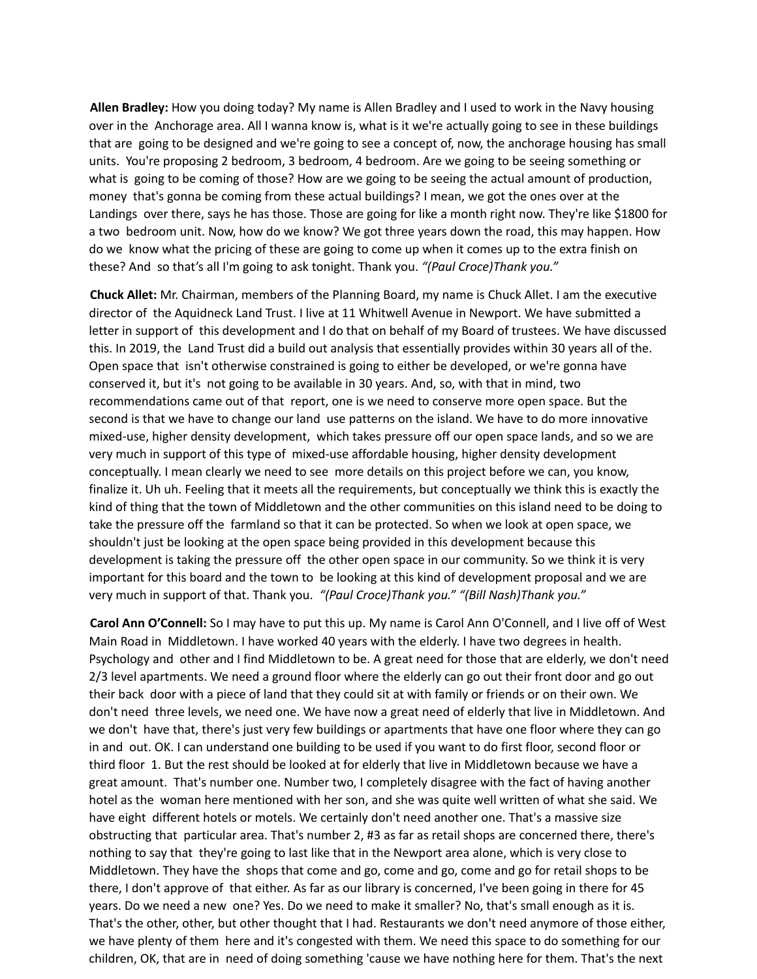**Allen Bradley:** How you doing today? My name is Allen Bradley and I used to work in the Navy housing over in the Anchorage area. All I wanna know is, what is it we're actually going to see in these buildings that are going to be designed and we're going to see a concept of, now, the anchorage housing has small units. You're proposing 2 bedroom, 3 bedroom, 4 bedroom. Are we going to be seeing something or what is going to be coming of those? How are we going to be seeing the actual amount of production, money that's gonna be coming from these actual buildings? I mean, we got the ones over at the Landings over there, says he has those. Those are going for like a month right now. They're like \$1800 for a two bedroom unit. Now, how do we know? We got three years down the road, this may happen. How do we know what the pricing of these are going to come up when it comes up to the extra finish on these? And so that's all I'm going to ask tonight. Thank you. *"(Paul Croce)Thank you."*

**Chuck Allet:** Mr. Chairman, members of the Planning Board, my name is Chuck Allet. I am the executive director of the Aquidneck Land Trust. I live at 11 Whitwell Avenue in Newport. We have submitted a letter in support of this development and I do that on behalf of my Board of trustees. We have discussed this. In 2019, the Land Trust did a build out analysis that essentially provides within 30 years all of the. Open space that isn't otherwise constrained is going to either be developed, or we're gonna have conserved it, but it's not going to be available in 30 years. And, so, with that in mind, two recommendations came out of that report, one is we need to conserve more open space. But the second is that we have to change our land use patterns on the island. We have to do more innovative mixed-use, higher density development, which takes pressure off our open space lands, and so we are very much in support of this type of mixed-use affordable housing, higher density development conceptually. I mean clearly we need to see more details on this project before we can, you know, finalize it. Uh uh. Feeling that it meets all the requirements, but conceptually we think this is exactly the kind of thing that the town of Middletown and the other communities on this island need to be doing to take the pressure off the farmland so that it can be protected. So when we look at open space, we shouldn't just be looking at the open space being provided in this development because this development is taking the pressure off the other open space in our community. So we think it is very important for this board and the town to be looking at this kind of development proposal and we are very much in support of that. Thank you. *"(Paul Croce)Thank you." "(Bill Nash)Thank you."*

**Carol Ann O'Connell:** So I may have to put this up. My name is Carol Ann O'Connell, and I live off of West Main Road in Middletown. I have worked 40 years with the elderly. I have two degrees in health. Psychology and other and I find Middletown to be. A great need for those that are elderly, we don't need 2/3 level apartments. We need a ground floor where the elderly can go out their front door and go out their back door with a piece of land that they could sit at with family or friends or on their own. We don't need three levels, we need one. We have now a great need of elderly that live in Middletown. And we don't have that, there's just very few buildings or apartments that have one floor where they can go in and out. OK. I can understand one building to be used if you want to do first floor, second floor or third floor 1. But the rest should be looked at for elderly that live in Middletown because we have a great amount. That's number one. Number two, I completely disagree with the fact of having another hotel as the woman here mentioned with her son, and she was quite well written of what she said. We have eight different hotels or motels. We certainly don't need another one. That's a massive size obstructing that particular area. That's number 2, #3 as far as retail shops are concerned there, there's nothing to say that they're going to last like that in the Newport area alone, which is very close to Middletown. They have the shops that come and go, come and go, come and go for retail shops to be there, I don't approve of that either. As far as our library is concerned, I've been going in there for 45 years. Do we need a new one? Yes. Do we need to make it smaller? No, that's small enough as it is. That's the other, other, but other thought that I had. Restaurants we don't need anymore of those either, we have plenty of them here and it's congested with them. We need this space to do something for our children, OK, that are in need of doing something 'cause we have nothing here for them. That's the next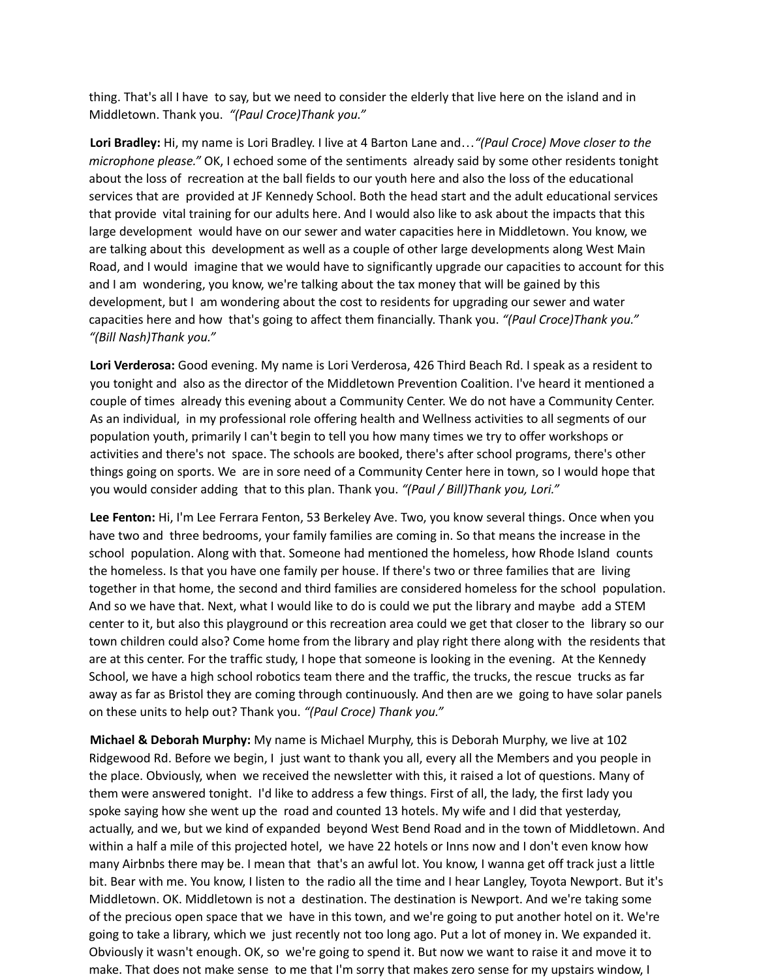thing. That's all I have to say, but we need to consider the elderly that live here on the island and in Middletown. Thank you. *"(Paul Croce)Thank you."*

**Lori Bradley:** Hi, my name is Lori Bradley. I live at 4 Barton Lane and…*"(Paul Croce) Move closer to the microphone please."* OK, I echoed some of the sentiments already said by some other residents tonight about the loss of recreation at the ball fields to our youth here and also the loss of the educational services that are provided at JF Kennedy School. Both the head start and the adult educational services that provide vital training for our adults here. And I would also like to ask about the impacts that this large development would have on our sewer and water capacities here in Middletown. You know, we are talking about this development as well as a couple of other large developments along West Main Road, and I would imagine that we would have to significantly upgrade our capacities to account for this and I am wondering, you know, we're talking about the tax money that will be gained by this development, but I am wondering about the cost to residents for upgrading our sewer and water capacities here and how that's going to affect them financially. Thank you. *"(Paul Croce)Thank you." "(Bill Nash)Thank you."*

**Lori Verderosa:** Good evening. My name is Lori Verderosa, 426 Third Beach Rd. I speak as a resident to you tonight and also as the director of the Middletown Prevention Coalition. I've heard it mentioned a couple of times already this evening about a Community Center. We do not have a Community Center. As an individual, in my professional role offering health and Wellness activities to all segments of our population youth, primarily I can't begin to tell you how many times we try to offer workshops or activities and there's not space. The schools are booked, there's after school programs, there's other things going on sports. We are in sore need of a Community Center here in town, so I would hope that you would consider adding that to this plan. Thank you. *"(Paul / Bill)Thank you, Lori."*

**Lee Fenton:** Hi, I'm Lee Ferrara Fenton, 53 Berkeley Ave. Two, you know several things. Once when you have two and three bedrooms, your family families are coming in. So that means the increase in the school population. Along with that. Someone had mentioned the homeless, how Rhode Island counts the homeless. Is that you have one family per house. If there's two or three families that are living together in that home, the second and third families are considered homeless for the school population. And so we have that. Next, what I would like to do is could we put the library and maybe add a STEM center to it, but also this playground or this recreation area could we get that closer to the library so our town children could also? Come home from the library and play right there along with the residents that are at this center. For the traffic study, I hope that someone is looking in the evening. At the Kennedy School, we have a high school robotics team there and the traffic, the trucks, the rescue trucks as far away as far as Bristol they are coming through continuously. And then are we going to have solar panels on these units to help out? Thank you. *"(Paul Croce) Thank you."*

**Michael & Deborah Murphy:** My name is Michael Murphy, this is Deborah Murphy, we live at 102 Ridgewood Rd. Before we begin, I just want to thank you all, every all the Members and you people in the place. Obviously, when we received the newsletter with this, it raised a lot of questions. Many of them were answered tonight. I'd like to address a few things. First of all, the lady, the first lady you spoke saying how she went up the road and counted 13 hotels. My wife and I did that yesterday, actually, and we, but we kind of expanded beyond West Bend Road and in the town of Middletown. And within a half a mile of this projected hotel, we have 22 hotels or Inns now and I don't even know how many Airbnbs there may be. I mean that that's an awful lot. You know, I wanna get off track just a little bit. Bear with me. You know, I listen to the radio all the time and I hear Langley, Toyota Newport. But it's Middletown. OK. Middletown is not a destination. The destination is Newport. And we're taking some of the precious open space that we have in this town, and we're going to put another hotel on it. We're going to take a library, which we just recently not too long ago. Put a lot of money in. We expanded it. Obviously it wasn't enough. OK, so we're going to spend it. But now we want to raise it and move it to make. That does not make sense to me that I'm sorry that makes zero sense for my upstairs window, I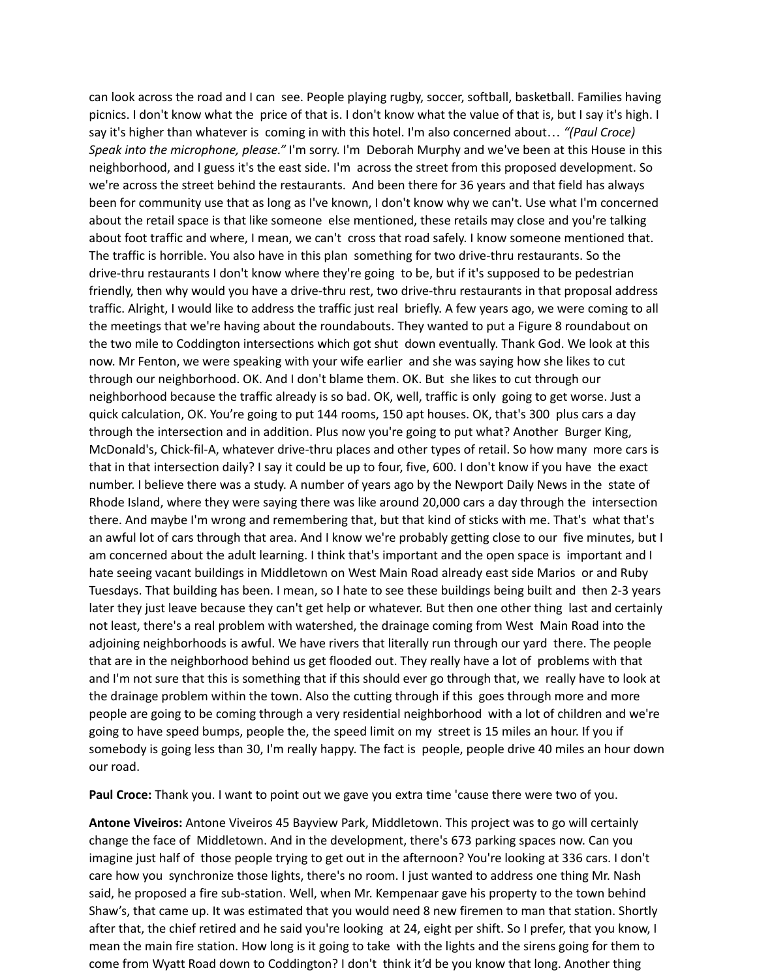can look across the road and I can see. People playing rugby, soccer, softball, basketball. Families having picnics. I don't know what the price of that is. I don't know what the value of that is, but I say it's high. I say it's higher than whatever is coming in with this hotel. I'm also concerned about… *"(Paul Croce) Speak into the microphone, please."* I'm sorry. I'm Deborah Murphy and we've been at this House in this neighborhood, and I guess it's the east side. I'm across the street from this proposed development. So we're across the street behind the restaurants. And been there for 36 years and that field has always been for community use that as long as I've known, I don't know why we can't. Use what I'm concerned about the retail space is that like someone else mentioned, these retails may close and you're talking about foot traffic and where, I mean, we can't cross that road safely. I know someone mentioned that. The traffic is horrible. You also have in this plan something for two drive-thru restaurants. So the drive-thru restaurants I don't know where they're going to be, but if it's supposed to be pedestrian friendly, then why would you have a drive-thru rest, two drive-thru restaurants in that proposal address traffic. Alright, I would like to address the traffic just real briefly. A few years ago, we were coming to all the meetings that we're having about the roundabouts. They wanted to put a Figure 8 roundabout on the two mile to Coddington intersections which got shut down eventually. Thank God. We look at this now. Mr Fenton, we were speaking with your wife earlier and she was saying how she likes to cut through our neighborhood. OK. And I don't blame them. OK. But she likes to cut through our neighborhood because the traffic already is so bad. OK, well, traffic is only going to get worse. Just a quick calculation, OK. You're going to put 144 rooms, 150 apt houses. OK, that's 300 plus cars a day through the intersection and in addition. Plus now you're going to put what? Another Burger King, McDonald's, Chick-fil-A, whatever drive-thru places and other types of retail. So how many more cars is that in that intersection daily? I say it could be up to four, five, 600. I don't know if you have the exact number. I believe there was a study. A number of years ago by the Newport Daily News in the state of Rhode Island, where they were saying there was like around 20,000 cars a day through the intersection there. And maybe I'm wrong and remembering that, but that kind of sticks with me. That's what that's an awful lot of cars through that area. And I know we're probably getting close to our five minutes, but I am concerned about the adult learning. I think that's important and the open space is important and I hate seeing vacant buildings in Middletown on West Main Road already east side Marios or and Ruby Tuesdays. That building has been. I mean, so I hate to see these buildings being built and then 2-3 years later they just leave because they can't get help or whatever. But then one other thing last and certainly not least, there's a real problem with watershed, the drainage coming from West Main Road into the adjoining neighborhoods is awful. We have rivers that literally run through our yard there. The people that are in the neighborhood behind us get flooded out. They really have a lot of problems with that and I'm not sure that this is something that if this should ever go through that, we really have to look at the drainage problem within the town. Also the cutting through if this goes through more and more people are going to be coming through a very residential neighborhood with a lot of children and we're going to have speed bumps, people the, the speed limit on my street is 15 miles an hour. If you if somebody is going less than 30, I'm really happy. The fact is people, people drive 40 miles an hour down our road.

**Paul Croce:** Thank you. I want to point out we gave you extra time 'cause there were two of you.

**Antone Viveiros:** Antone Viveiros 45 Bayview Park, Middletown. This project was to go will certainly change the face of Middletown. And in the development, there's 673 parking spaces now. Can you imagine just half of those people trying to get out in the afternoon? You're looking at 336 cars. I don't care how you synchronize those lights, there's no room. I just wanted to address one thing Mr. Nash said, he proposed a fire sub-station. Well, when Mr. Kempenaar gave his property to the town behind Shaw's, that came up. It was estimated that you would need 8 new firemen to man that station. Shortly after that, the chief retired and he said you're looking at 24, eight per shift. So I prefer, that you know, I mean the main fire station. How long is it going to take with the lights and the sirens going for them to come from Wyatt Road down to Coddington? I don't think it'd be you know that long. Another thing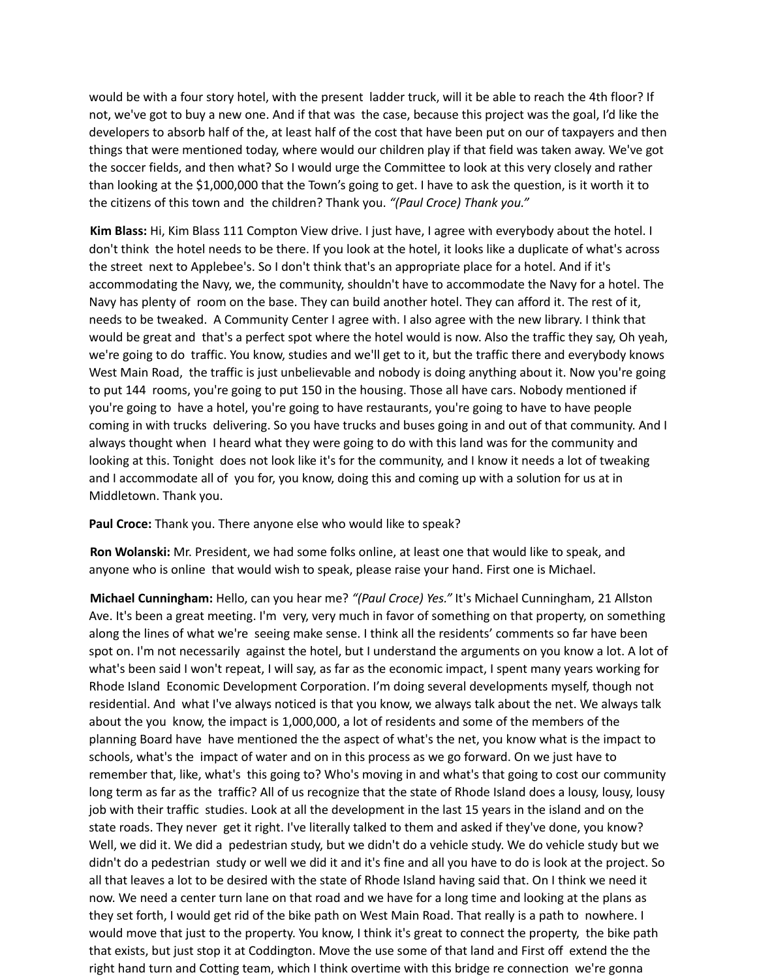would be with a four story hotel, with the present ladder truck, will it be able to reach the 4th floor? If not, we've got to buy a new one. And if that was the case, because this project was the goal, I'd like the developers to absorb half of the, at least half of the cost that have been put on our of taxpayers and then things that were mentioned today, where would our children play if that field was taken away. We've got the soccer fields, and then what? So I would urge the Committee to look at this very closely and rather than looking at the \$1,000,000 that the Town's going to get. I have to ask the question, is it worth it to the citizens of this town and the children? Thank you. *"(Paul Croce) Thank you."*

**Kim Blass:** Hi, Kim Blass 111 Compton View drive. I just have, I agree with everybody about the hotel. I don't think the hotel needs to be there. If you look at the hotel, it looks like a duplicate of what's across the street next to Applebee's. So I don't think that's an appropriate place for a hotel. And if it's accommodating the Navy, we, the community, shouldn't have to accommodate the Navy for a hotel. The Navy has plenty of room on the base. They can build another hotel. They can afford it. The rest of it, needs to be tweaked. A Community Center I agree with. I also agree with the new library. I think that would be great and that's a perfect spot where the hotel would is now. Also the traffic they say, Oh yeah, we're going to do traffic. You know, studies and we'll get to it, but the traffic there and everybody knows West Main Road, the traffic is just unbelievable and nobody is doing anything about it. Now you're going to put 144 rooms, you're going to put 150 in the housing. Those all have cars. Nobody mentioned if you're going to have a hotel, you're going to have restaurants, you're going to have to have people coming in with trucks delivering. So you have trucks and buses going in and out of that community. And I always thought when I heard what they were going to do with this land was for the community and looking at this. Tonight does not look like it's for the community, and I know it needs a lot of tweaking and I accommodate all of you for, you know, doing this and coming up with a solution for us at in Middletown. Thank you.

**Paul Croce:** Thank you. There anyone else who would like to speak?

**Ron Wolanski:** Mr. President, we had some folks online, at least one that would like to speak, and anyone who is online that would wish to speak, please raise your hand. First one is Michael.

**Michael Cunningham:** Hello, can you hear me? *"(Paul Croce) Yes."* It's Michael Cunningham, 21 Allston Ave. It's been a great meeting. I'm very, very much in favor of something on that property, on something along the lines of what we're seeing make sense. I think all the residents' comments so far have been spot on. I'm not necessarily against the hotel, but I understand the arguments on you know a lot. A lot of what's been said I won't repeat, I will say, as far as the economic impact, I spent many years working for Rhode Island Economic Development Corporation. I'm doing several developments myself, though not residential. And what I've always noticed is that you know, we always talk about the net. We always talk about the you know, the impact is 1,000,000, a lot of residents and some of the members of the planning Board have have mentioned the the aspect of what's the net, you know what is the impact to schools, what's the impact of water and on in this process as we go forward. On we just have to remember that, like, what's this going to? Who's moving in and what's that going to cost our community long term as far as the traffic? All of us recognize that the state of Rhode Island does a lousy, lousy, lousy job with their traffic studies. Look at all the development in the last 15 years in the island and on the state roads. They never get it right. I've literally talked to them and asked if they've done, you know? Well, we did it. We did a pedestrian study, but we didn't do a vehicle study. We do vehicle study but we didn't do a pedestrian study or well we did it and it's fine and all you have to do is look at the project. So all that leaves a lot to be desired with the state of Rhode Island having said that. On I think we need it now. We need a center turn lane on that road and we have for a long time and looking at the plans as they set forth, I would get rid of the bike path on West Main Road. That really is a path to nowhere. I would move that just to the property. You know, I think it's great to connect the property, the bike path that exists, but just stop it at Coddington. Move the use some of that land and First off extend the the right hand turn and Cotting team, which I think overtime with this bridge re connection we're gonna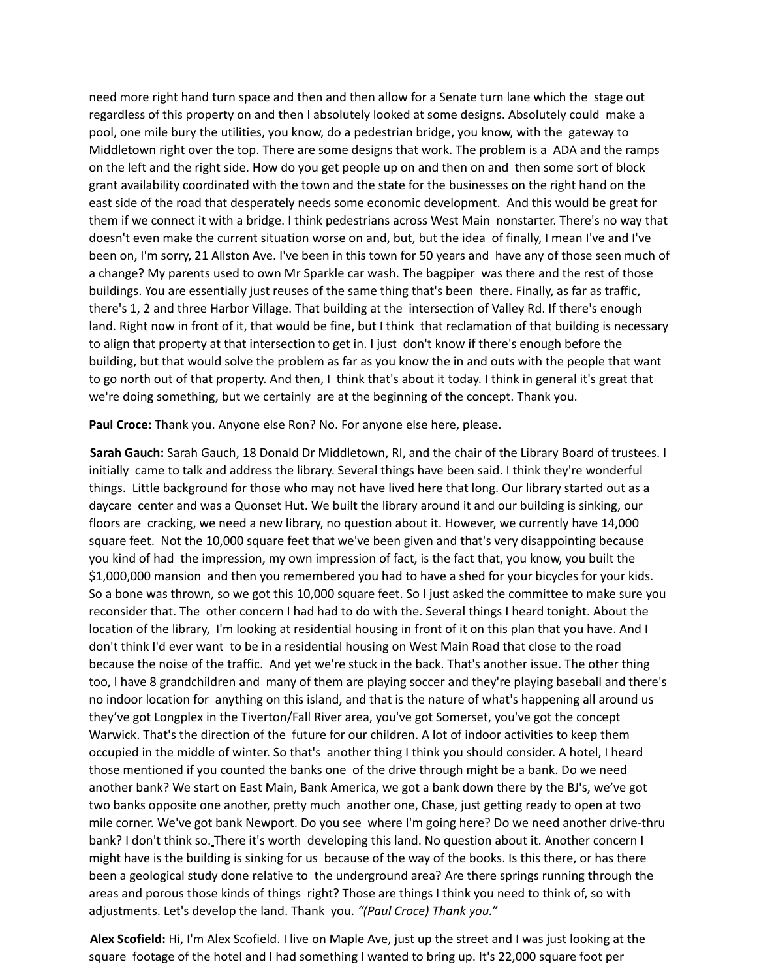need more right hand turn space and then and then allow for a Senate turn lane which the stage out regardless of this property on and then I absolutely looked at some designs. Absolutely could make a pool, one mile bury the utilities, you know, do a pedestrian bridge, you know, with the gateway to Middletown right over the top. There are some designs that work. The problem is a ADA and the ramps on the left and the right side. How do you get people up on and then on and then some sort of block grant availability coordinated with the town and the state for the businesses on the right hand on the east side of the road that desperately needs some economic development. And this would be great for them if we connect it with a bridge. I think pedestrians across West Main nonstarter. There's no way that doesn't even make the current situation worse on and, but, but the idea of finally, I mean I've and I've been on, I'm sorry, 21 Allston Ave. I've been in this town for 50 years and have any of those seen much of a change? My parents used to own Mr Sparkle car wash. The bagpiper was there and the rest of those buildings. You are essentially just reuses of the same thing that's been there. Finally, as far as traffic, there's 1, 2 and three Harbor Village. That building at the intersection of Valley Rd. If there's enough land. Right now in front of it, that would be fine, but I think that reclamation of that building is necessary to align that property at that intersection to get in. I just don't know if there's enough before the building, but that would solve the problem as far as you know the in and outs with the people that want to go north out of that property. And then, I think that's about it today. I think in general it's great that we're doing something, but we certainly are at the beginning of the concept. Thank you.

**Paul Croce:** Thank you. Anyone else Ron? No. For anyone else here, please.

**Sarah Gauch:** Sarah Gauch, 18 Donald Dr Middletown, RI, and the chair of the Library Board of trustees. I initially came to talk and address the library. Several things have been said. I think they're wonderful things. Little background for those who may not have lived here that long. Our library started out as a daycare center and was a Quonset Hut. We built the library around it and our building is sinking, our floors are cracking, we need a new library, no question about it. However, we currently have 14,000 square feet. Not the 10,000 square feet that we've been given and that's very disappointing because you kind of had the impression, my own impression of fact, is the fact that, you know, you built the \$1,000,000 mansion and then you remembered you had to have a shed for your bicycles for your kids. So a bone was thrown, so we got this 10,000 square feet. So I just asked the committee to make sure you reconsider that. The other concern I had had to do with the. Several things I heard tonight. About the location of the library, I'm looking at residential housing in front of it on this plan that you have. And I don't think I'd ever want to be in a residential housing on West Main Road that close to the road because the noise of the traffic. And yet we're stuck in the back. That's another issue. The other thing too, I have 8 grandchildren and many of them are playing soccer and they're playing baseball and there's no indoor location for anything on this island, and that is the nature of what's happening all around us they've got Longplex in the Tiverton/Fall River area, you've got Somerset, you've got the concept Warwick. That's the direction of the future for our children. A lot of indoor activities to keep them occupied in the middle of winter. So that's another thing I think you should consider. A hotel, I heard those mentioned if you counted the banks one of the drive through might be a bank. Do we need another bank? We start on East Main, Bank America, we got a bank down there by the BJ's, we've got two banks opposite one another, pretty much another one, Chase, just getting ready to open at two mile corner. We've got bank Newport. Do you see where I'm going here? Do we need another drive-thru bank? I don't think so. There it's worth developing this land. No question about it. Another concern I might have is the building is sinking for us because of the way of the books. Is this there, or has there been a geological study done relative to the underground area? Are there springs running through the areas and porous those kinds of things right? Those are things I think you need to think of, so with adjustments. Let's develop the land. Thank you. *"(Paul Croce) Thank you."*

**Alex Scofield:** Hi, I'm Alex Scofield. I live on Maple Ave, just up the street and I was just looking at the square footage of the hotel and I had something I wanted to bring up. It's 22,000 square foot per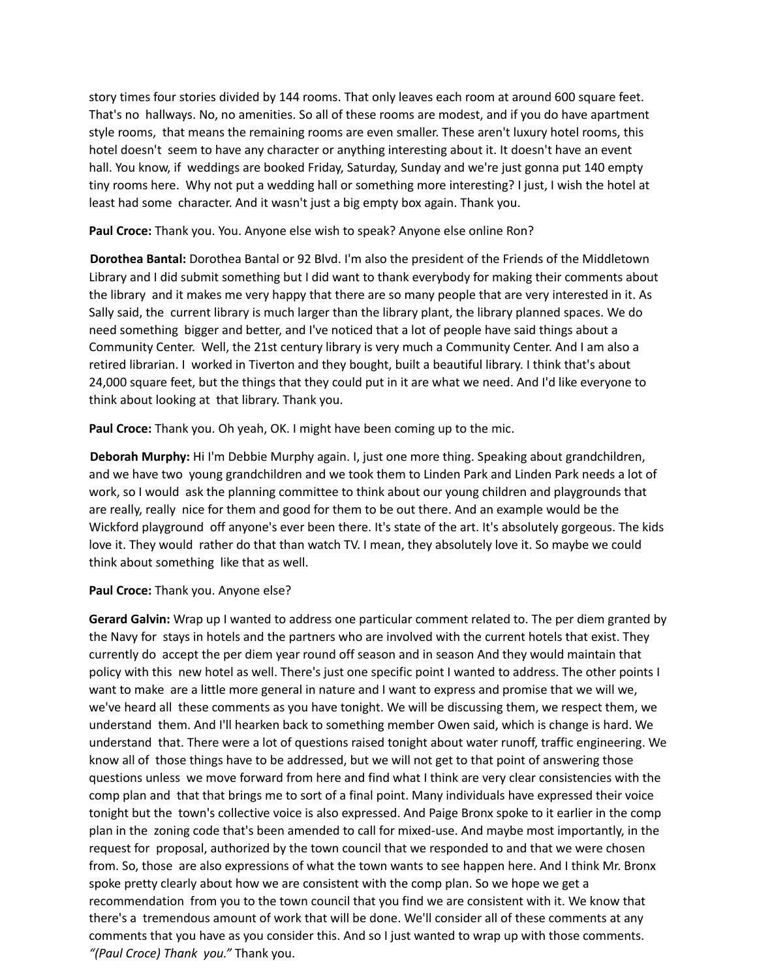story times four stories divided by 144 rooms. That only leaves each room at around 600 square feet. That's no hallways. No, no amenities. So all of these rooms are modest, and if you do have apartment style rooms, that means the remaining rooms are even smaller. These aren't luxury hotel rooms, this hotel doesn't seem to have any character or anything interesting about it. It doesn't have an event hall. You know, if weddings are booked Friday, Saturday, Sunday and we're just gonna put 140 empty tiny rooms here. Why not put a wedding hall or something more interesting? I just, I wish the hotel at least had some character. And it wasn't just a big empty box again. Thank you.

**Paul Croce:** Thank you. You. Anyone else wish to speak? Anyone else online Ron?

**Dorothea Bantal:** Dorothea Bantal or 92 Blvd. I'm also the president of the Friends of the Middletown Library and I did submit something but I did want to thank everybody for making their comments about the library and it makes me very happy that there are so many people that are very interested in it. As Sally said, the current library is much larger than the library plant, the library planned spaces. We do need something bigger and better, and I've noticed that a lot of people have said things about a Community Center. Well, the 21st century library is very much a Community Center. And I am also a retired librarian. I worked in Tiverton and they bought, built a beautiful library. I think that's about 24,000 square feet, but the things that they could put in it are what we need. And I'd like everyone to think about looking at that library. Thank you.

**Paul Croce:** Thank you. Oh yeah, OK. I might have been coming up to the mic.

**Deborah Murphy:** Hi I'm Debbie Murphy again. I, just one more thing. Speaking about grandchildren, and we have two young grandchildren and we took them to Linden Park and Linden Park needs a lot of work, so I would ask the planning committee to think about our young children and playgrounds that are really, really nice for them and good for them to be out there. And an example would be the Wickford playground off anyone's ever been there. It's state of the art. It's absolutely gorgeous. The kids love it. They would rather do that than watch TV. I mean, they absolutely love it. So maybe we could think about something like that as well.

## **Paul Croce:** Thank you. Anyone else?

**Gerard Galvin:** Wrap up I wanted to address one particular comment related to. The per diem granted by the Navy for stays in hotels and the partners who are involved with the current hotels that exist. They currently do accept the per diem year round off season and in season And they would maintain that policy with this new hotel as well. There's just one specific point I wanted to address. The other points I want to make are a little more general in nature and I want to express and promise that we will we, we've heard all these comments as you have tonight. We will be discussing them, we respect them, we understand them. And I'll hearken back to something member Owen said, which is change is hard. We understand that. There were a lot of questions raised tonight about water runoff, traffic engineering. We know all of those things have to be addressed, but we will not get to that point of answering those questions unless we move forward from here and find what I think are very clear consistencies with the comp plan and that that brings me to sort of a final point. Many individuals have expressed their voice tonight but the town's collective voice is also expressed. And Paige Bronx spoke to it earlier in the comp plan in the zoning code that's been amended to call for mixed-use. And maybe most importantly, in the request for proposal, authorized by the town council that we responded to and that we were chosen from. So, those are also expressions of what the town wants to see happen here. And I think Mr. Bronx spoke pretty clearly about how we are consistent with the comp plan. So we hope we get a recommendation from you to the town council that you find we are consistent with it. We know that there's a tremendous amount of work that will be done. We'll consider all of these comments at any comments that you have as you consider this. And so I just wanted to wrap up with those comments. *"(Paul Croce) Thank you."* Thank you.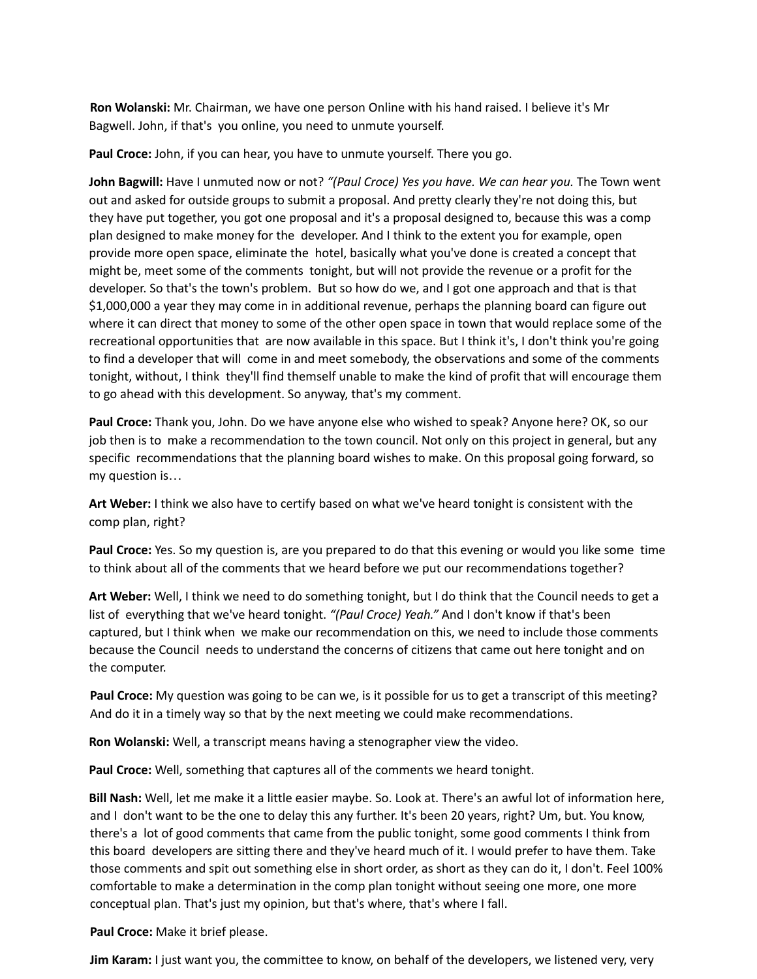**Ron Wolanski:** Mr. Chairman, we have one person Online with his hand raised. I believe it's Mr Bagwell. John, if that's you online, you need to unmute yourself.

**Paul Croce:** John, if you can hear, you have to unmute yourself. There you go.

**John Bagwill:** Have I unmuted now or not? *"(Paul Croce) Yes you have. We can hear you.* The Town went out and asked for outside groups to submit a proposal. And pretty clearly they're not doing this, but they have put together, you got one proposal and it's a proposal designed to, because this was a comp plan designed to make money for the developer. And I think to the extent you for example, open provide more open space, eliminate the hotel, basically what you've done is created a concept that might be, meet some of the comments tonight, but will not provide the revenue or a profit for the developer. So that's the town's problem. But so how do we, and I got one approach and that is that \$1,000,000 a year they may come in in additional revenue, perhaps the planning board can figure out where it can direct that money to some of the other open space in town that would replace some of the recreational opportunities that are now available in this space. But I think it's, I don't think you're going to find a developer that will come in and meet somebody, the observations and some of the comments tonight, without, I think they'll find themself unable to make the kind of profit that will encourage them to go ahead with this development. So anyway, that's my comment.

**Paul Croce:** Thank you, John. Do we have anyone else who wished to speak? Anyone here? OK, so our job then is to make a recommendation to the town council. Not only on this project in general, but any specific recommendations that the planning board wishes to make. On this proposal going forward, so my question is…

**Art Weber:** I think we also have to certify based on what we've heard tonight is consistent with the comp plan, right?

**Paul Croce:** Yes. So my question is, are you prepared to do that this evening or would you like some time to think about all of the comments that we heard before we put our recommendations together?

**Art Weber:** Well, I think we need to do something tonight, but I do think that the Council needs to get a list of everything that we've heard tonight. *"(Paul Croce) Yeah."* And I don't know if that's been captured, but I think when we make our recommendation on this, we need to include those comments because the Council needs to understand the concerns of citizens that came out here tonight and on the computer.

**Paul Croce:** My question was going to be can we, is it possible for us to get a transcript of this meeting? And do it in a timely way so that by the next meeting we could make recommendations.

**Ron Wolanski:** Well, a transcript means having a stenographer view the video.

**Paul Croce:** Well, something that captures all of the comments we heard tonight.

**Bill Nash:** Well, let me make it a little easier maybe. So. Look at. There's an awful lot of information here, and I don't want to be the one to delay this any further. It's been 20 years, right? Um, but. You know, there's a lot of good comments that came from the public tonight, some good comments I think from this board developers are sitting there and they've heard much of it. I would prefer to have them. Take those comments and spit out something else in short order, as short as they can do it, I don't. Feel 100% comfortable to make a determination in the comp plan tonight without seeing one more, one more conceptual plan. That's just my opinion, but that's where, that's where I fall.

**Paul Croce:** Make it brief please.

**Jim Karam:** I just want you, the committee to know, on behalf of the developers, we listened very, very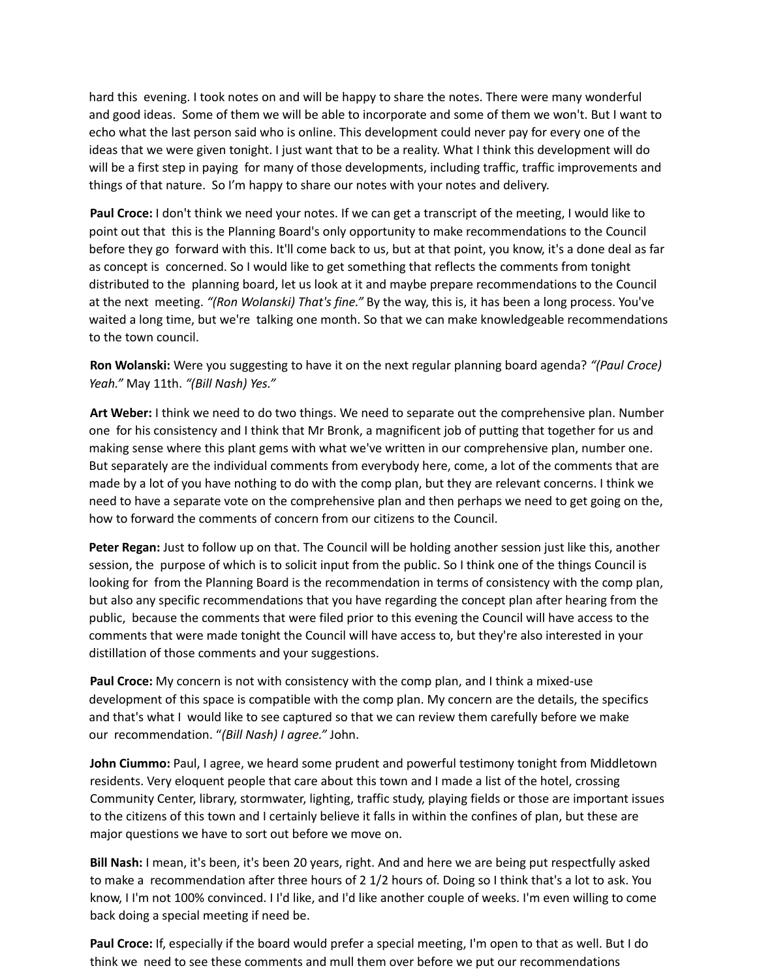hard this evening. I took notes on and will be happy to share the notes. There were many wonderful and good ideas. Some of them we will be able to incorporate and some of them we won't. But I want to echo what the last person said who is online. This development could never pay for every one of the ideas that we were given tonight. I just want that to be a reality. What I think this development will do will be a first step in paying for many of those developments, including traffic, traffic improvements and things of that nature. So I'm happy to share our notes with your notes and delivery.

**Paul Croce:** I don't think we need your notes. If we can get a transcript of the meeting, I would like to point out that this is the Planning Board's only opportunity to make recommendations to the Council before they go forward with this. It'll come back to us, but at that point, you know, it's a done deal as far as concept is concerned. So I would like to get something that reflects the comments from tonight distributed to the planning board, let us look at it and maybe prepare recommendations to the Council at the next meeting. *"(Ron Wolanski) That's fine."* By the way, this is, it has been a long process. You've waited a long time, but we're talking one month. So that we can make knowledgeable recommendations to the town council.

**Ron Wolanski:** Were you suggesting to have it on the next regular planning board agenda? *"(Paul Croce) Yeah."* May 11th. *"(Bill Nash) Yes."*

**Art Weber:** I think we need to do two things. We need to separate out the comprehensive plan. Number one for his consistency and I think that Mr Bronk, a magnificent job of putting that together for us and making sense where this plant gems with what we've written in our comprehensive plan, number one. But separately are the individual comments from everybody here, come, a lot of the comments that are made by a lot of you have nothing to do with the comp plan, but they are relevant concerns. I think we need to have a separate vote on the comprehensive plan and then perhaps we need to get going on the, how to forward the comments of concern from our citizens to the Council.

**Peter Regan:** Just to follow up on that. The Council will be holding another session just like this, another session, the purpose of which is to solicit input from the public. So I think one of the things Council is looking for from the Planning Board is the recommendation in terms of consistency with the comp plan, but also any specific recommendations that you have regarding the concept plan after hearing from the public, because the comments that were filed prior to this evening the Council will have access to the comments that were made tonight the Council will have access to, but they're also interested in your distillation of those comments and your suggestions.

**Paul Croce:** My concern is not with consistency with the comp plan, and I think a mixed-use development of this space is compatible with the comp plan. My concern are the details, the specifics and that's what I would like to see captured so that we can review them carefully before we make our recommendation. "*(Bill Nash) I agree."* John.

**John Ciummo:** Paul, I agree, we heard some prudent and powerful testimony tonight from Middletown residents. Very eloquent people that care about this town and I made a list of the hotel, crossing Community Center, library, stormwater, lighting, traffic study, playing fields or those are important issues to the citizens of this town and I certainly believe it falls in within the confines of plan, but these are major questions we have to sort out before we move on.

**Bill Nash:** I mean, it's been, it's been 20 years, right. And and here we are being put respectfully asked to make a recommendation after three hours of 2 1/2 hours of. Doing so I think that's a lot to ask. You know, I I'm not 100% convinced. I I'd like, and I'd like another couple of weeks. I'm even willing to come back doing a special meeting if need be.

**Paul Croce:** If, especially if the board would prefer a special meeting, I'm open to that as well. But I do think we need to see these comments and mull them over before we put our recommendations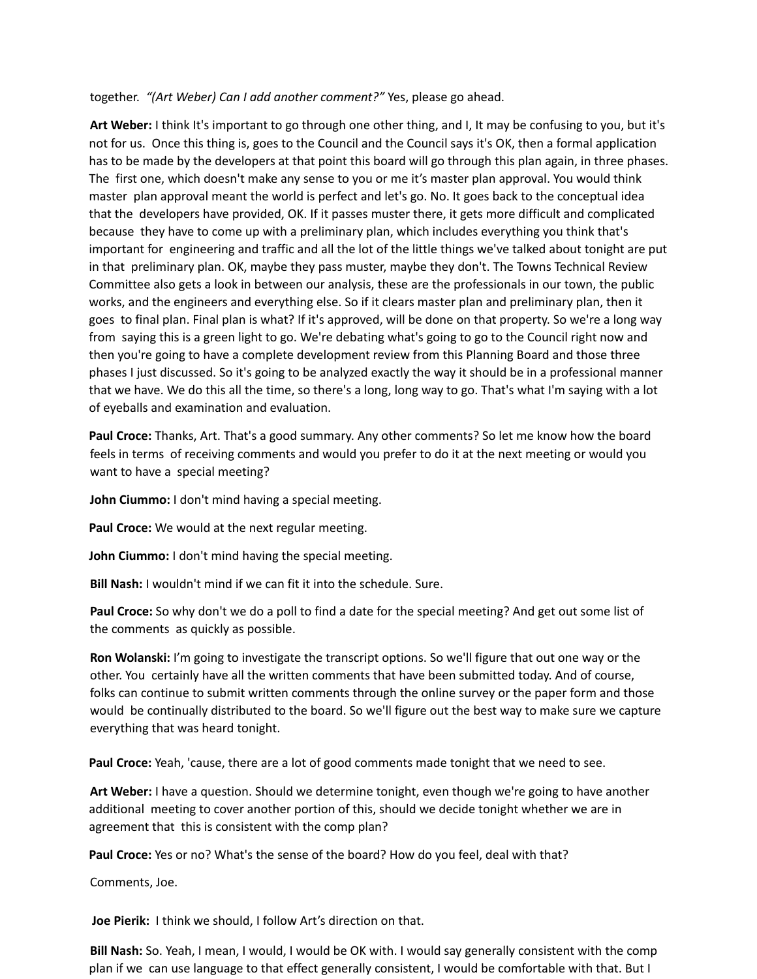together. *"(Art Weber) Can I add another comment?"* Yes, please go ahead.

**Art Weber:** I think It's important to go through one other thing, and I, It may be confusing to you, but it's not for us. Once this thing is, goes to the Council and the Council says it's OK, then a formal application has to be made by the developers at that point this board will go through this plan again, in three phases. The first one, which doesn't make any sense to you or me it's master plan approval. You would think master plan approval meant the world is perfect and let's go. No. It goes back to the conceptual idea that the developers have provided, OK. If it passes muster there, it gets more difficult and complicated because they have to come up with a preliminary plan, which includes everything you think that's important for engineering and traffic and all the lot of the little things we've talked about tonight are put in that preliminary plan. OK, maybe they pass muster, maybe they don't. The Towns Technical Review Committee also gets a look in between our analysis, these are the professionals in our town, the public works, and the engineers and everything else. So if it clears master plan and preliminary plan, then it goes to final plan. Final plan is what? If it's approved, will be done on that property. So we're a long way from saying this is a green light to go. We're debating what's going to go to the Council right now and then you're going to have a complete development review from this Planning Board and those three phases I just discussed. So it's going to be analyzed exactly the way it should be in a professional manner that we have. We do this all the time, so there's a long, long way to go. That's what I'm saying with a lot of eyeballs and examination and evaluation.

**Paul Croce:** Thanks, Art. That's a good summary. Any other comments? So let me know how the board feels in terms of receiving comments and would you prefer to do it at the next meeting or would you want to have a special meeting?

**John Ciummo:** I don't mind having a special meeting.

**Paul Croce:** We would at the next regular meeting.

**John Ciummo:** I don't mind having the special meeting.

**Bill Nash:** I wouldn't mind if we can fit it into the schedule. Sure.

**Paul Croce:** So why don't we do a poll to find a date for the special meeting? And get out some list of the comments as quickly as possible.

**Ron Wolanski:** I'm going to investigate the transcript options. So we'll figure that out one way or the other. You certainly have all the written comments that have been submitted today. And of course, folks can continue to submit written comments through the online survey or the paper form and those would be continually distributed to the board. So we'll figure out the best way to make sure we capture everything that was heard tonight.

**Paul Croce:** Yeah, 'cause, there are a lot of good comments made tonight that we need to see.

**Art Weber:** I have a question. Should we determine tonight, even though we're going to have another additional meeting to cover another portion of this, should we decide tonight whether we are in agreement that this is consistent with the comp plan?

**Paul Croce:** Yes or no? What's the sense of the board? How do you feel, deal with that?

Comments, Joe.

**Joe Pierik:** I think we should, I follow Art's direction on that.

**Bill Nash:** So. Yeah, I mean, I would, I would be OK with. I would say generally consistent with the comp plan if we can use language to that effect generally consistent, I would be comfortable with that. But I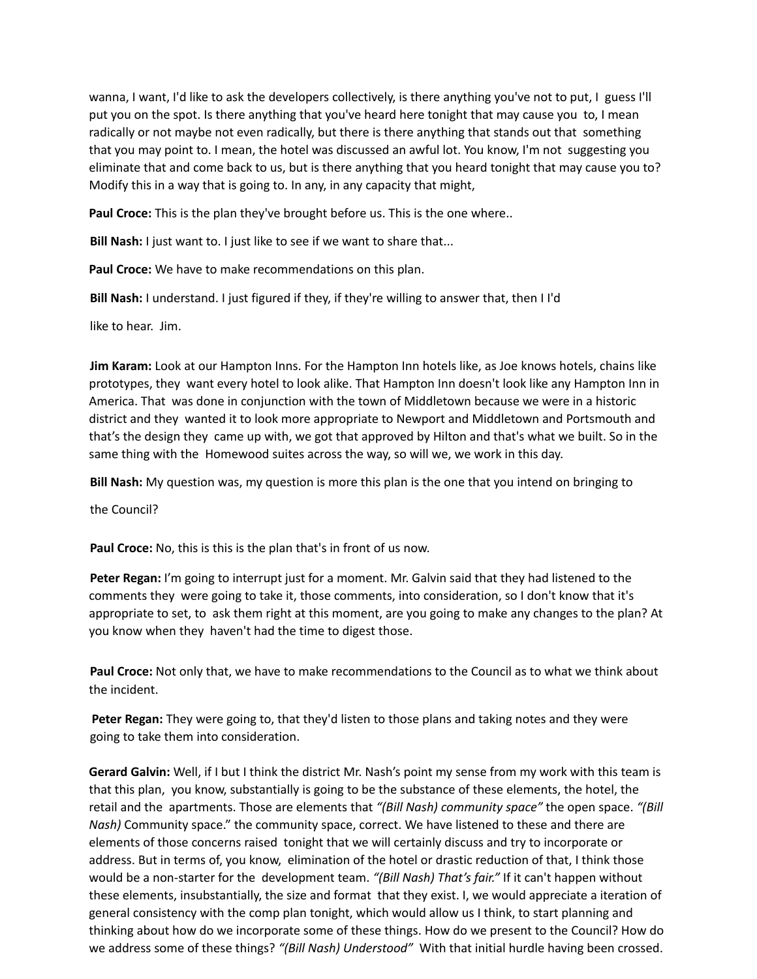wanna, I want, I'd like to ask the developers collectively, is there anything you've not to put, I guess I'll put you on the spot. Is there anything that you've heard here tonight that may cause you to, I mean radically or not maybe not even radically, but there is there anything that stands out that something that you may point to. I mean, the hotel was discussed an awful lot. You know, I'm not suggesting you eliminate that and come back to us, but is there anything that you heard tonight that may cause you to? Modify this in a way that is going to. In any, in any capacity that might,

**Paul Croce:** This is the plan they've brought before us. This is the one where..

**Bill Nash:** I just want to. I just like to see if we want to share that...

**Paul Croce:** We have to make recommendations on this plan.

**Bill Nash:** I understand. I just figured if they, if they're willing to answer that, then I I'd

like to hear. Jim.

**Jim Karam:** Look at our Hampton Inns. For the Hampton Inn hotels like, as Joe knows hotels, chains like prototypes, they want every hotel to look alike. That Hampton Inn doesn't look like any Hampton Inn in America. That was done in conjunction with the town of Middletown because we were in a historic district and they wanted it to look more appropriate to Newport and Middletown and Portsmouth and that's the design they came up with, we got that approved by Hilton and that's what we built. So in the same thing with the Homewood suites across the way, so will we, we work in this day.

**Bill Nash:** My question was, my question is more this plan is the one that you intend on bringing to

the Council?

**Paul Croce:** No, this is this is the plan that's in front of us now.

**Peter Regan:** I'm going to interrupt just for a moment. Mr. Galvin said that they had listened to the comments they were going to take it, those comments, into consideration, so I don't know that it's appropriate to set, to ask them right at this moment, are you going to make any changes to the plan? At you know when they haven't had the time to digest those.

**Paul Croce:** Not only that, we have to make recommendations to the Council as to what we think about the incident.

**Peter Regan:** They were going to, that they'd listen to those plans and taking notes and they were going to take them into consideration.

**Gerard Galvin:** Well, if I but I think the district Mr. Nash's point my sense from my work with this team is that this plan, you know, substantially is going to be the substance of these elements, the hotel, the retail and the apartments. Those are elements that *"(Bill Nash) community space"* the open space. *"(Bill Nash)* Community space." the community space, correct. We have listened to these and there are elements of those concerns raised tonight that we will certainly discuss and try to incorporate or address. But in terms of, you know, elimination of the hotel or drastic reduction of that, I think those would be a non-starter for the development team. *"(Bill Nash) That's fair."* If it can't happen without these elements, insubstantially, the size and format that they exist. I, we would appreciate a iteration of general consistency with the comp plan tonight, which would allow us I think, to start planning and thinking about how do we incorporate some of these things. How do we present to the Council? How do we address some of these things? *"(Bill Nash) Understood"* With that initial hurdle having been crossed.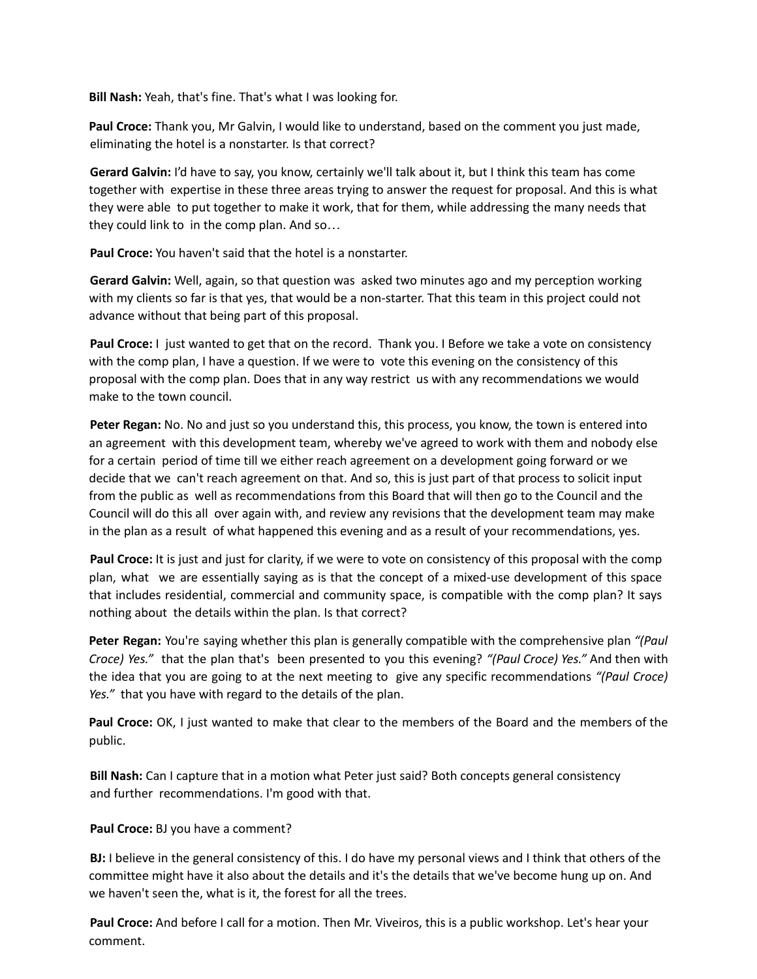**Bill Nash:** Yeah, that's fine. That's what I was looking for.

**Paul Croce:** Thank you, Mr Galvin, I would like to understand, based on the comment you just made, eliminating the hotel is a nonstarter. Is that correct?

**Gerard Galvin:** I'd have to say, you know, certainly we'll talk about it, but I think this team has come together with expertise in these three areas trying to answer the request for proposal. And this is what they were able to put together to make it work, that for them, while addressing the many needs that they could link to in the comp plan. And so…

**Paul Croce:** You haven't said that the hotel is a nonstarter.

**Gerard Galvin:** Well, again, so that question was asked two minutes ago and my perception working with my clients so far is that yes, that would be a non-starter. That this team in this project could not advance without that being part of this proposal.

**Paul Croce:** I just wanted to get that on the record. Thank you. I Before we take a vote on consistency with the comp plan, I have a question. If we were to vote this evening on the consistency of this proposal with the comp plan. Does that in any way restrict us with any recommendations we would make to the town council.

**Peter Regan:** No. No and just so you understand this, this process, you know, the town is entered into an agreement with this development team, whereby we've agreed to work with them and nobody else for a certain period of time till we either reach agreement on a development going forward or we decide that we can't reach agreement on that. And so, this is just part of that process to solicit input from the public as well as recommendations from this Board that will then go to the Council and the Council will do this all over again with, and review any revisions that the development team may make in the plan as a result of what happened this evening and as a result of your recommendations, yes.

**Paul Croce:** It is just and just for clarity, if we were to vote on consistency of this proposal with the comp plan, what we are essentially saying as is that the concept of a mixed-use development of this space that includes residential, commercial and community space, is compatible with the comp plan? It says nothing about the details within the plan. Is that correct?

**Peter Regan:** You're saying whether this plan is generally compatible with the comprehensive plan *"(Paul Croce) Yes."* that the plan that's been presented to you this evening? *"(Paul Croce) Yes."* And then with the idea that you are going to at the next meeting to give any specific recommendations *"(Paul Croce) Yes."* that you have with regard to the details of the plan.

**Paul Croce:** OK, I just wanted to make that clear to the members of the Board and the members of the public.

**Bill Nash:** Can I capture that in a motion what Peter just said? Both concepts general consistency and further recommendations. I'm good with that.

## **Paul Croce:** BJ you have a comment?

**BJ:** I believe in the general consistency of this. I do have my personal views and I think that others of the committee might have it also about the details and it's the details that we've become hung up on. And we haven't seen the, what is it, the forest for all the trees.

**Paul Croce:** And before I call for a motion. Then Mr. Viveiros, this is a public workshop. Let's hear your comment.